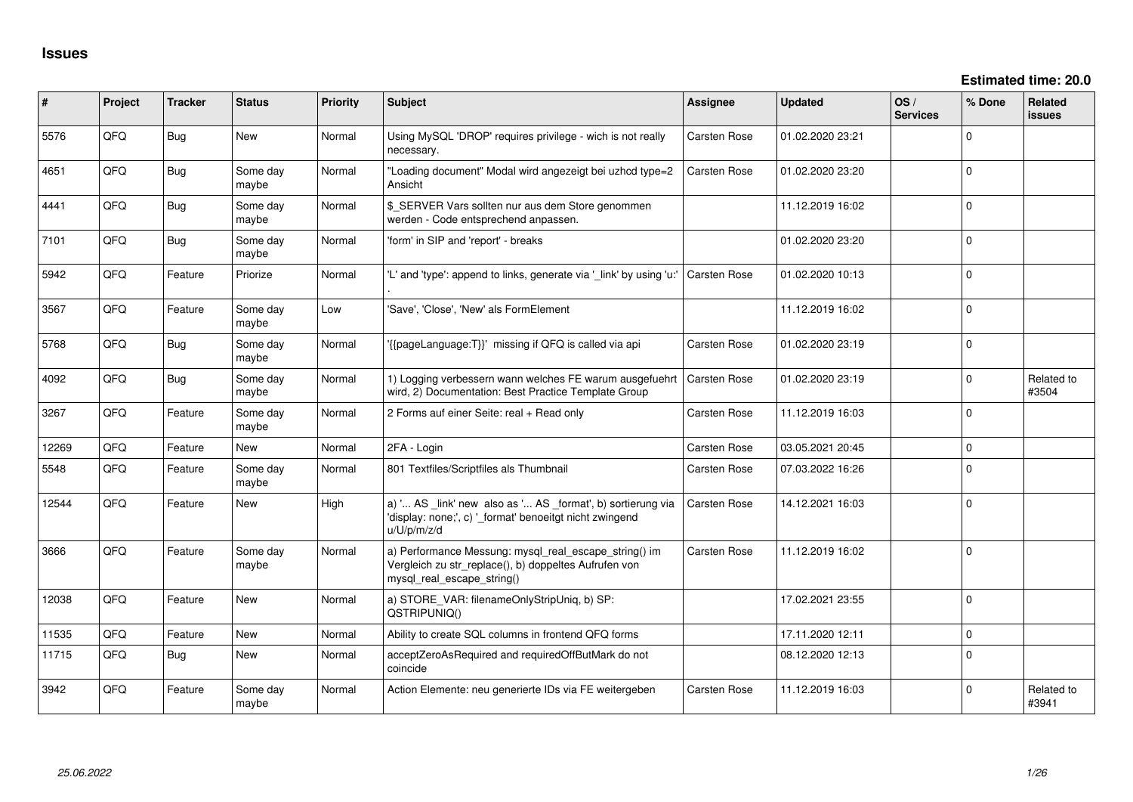| #     | Project | <b>Tracker</b> | <b>Status</b>     | <b>Priority</b> | <b>Subject</b>                                                                                                                               | <b>Assignee</b>     | <b>Updated</b>   | OS/<br><b>Services</b> | % Done         | Related<br>issues   |
|-------|---------|----------------|-------------------|-----------------|----------------------------------------------------------------------------------------------------------------------------------------------|---------------------|------------------|------------------------|----------------|---------------------|
| 5576  | QFQ     | Bug            | New               | Normal          | Using MySQL 'DROP' requires privilege - wich is not really<br>necessary.                                                                     | Carsten Rose        | 01.02.2020 23:21 |                        | $\mathbf 0$    |                     |
| 4651  | QFQ     | <b>Bug</b>     | Some day<br>maybe | Normal          | "Loading document" Modal wird angezeigt bei uzhcd type=2<br>Ansicht                                                                          | Carsten Rose        | 01.02.2020 23:20 |                        | $\mathbf{0}$   |                     |
| 4441  | QFQ     | Bug            | Some day<br>maybe | Normal          | \$_SERVER Vars sollten nur aus dem Store genommen<br>werden - Code entsprechend anpassen.                                                    |                     | 11.12.2019 16:02 |                        | $\mathbf 0$    |                     |
| 7101  | QFQ     | Bug            | Some day<br>maybe | Normal          | 'form' in SIP and 'report' - breaks                                                                                                          |                     | 01.02.2020 23:20 |                        | $\mathbf 0$    |                     |
| 5942  | QFQ     | Feature        | Priorize          | Normal          | 'L' and 'type': append to links, generate via '_link' by using 'u:'                                                                          | <b>Carsten Rose</b> | 01.02.2020 10:13 |                        | $\Omega$       |                     |
| 3567  | QFQ     | Feature        | Some day<br>maybe | Low             | 'Save', 'Close', 'New' als FormElement                                                                                                       |                     | 11.12.2019 16:02 |                        | $\Omega$       |                     |
| 5768  | QFQ     | Bug            | Some day<br>maybe | Normal          | '{{pageLanguage:T}}' missing if QFQ is called via api                                                                                        | <b>Carsten Rose</b> | 01.02.2020 23:19 |                        | $\Omega$       |                     |
| 4092  | QFQ     | Bug            | Some day<br>maybe | Normal          | 1) Logging verbessern wann welches FE warum ausgefuehrt<br>wird, 2) Documentation: Best Practice Template Group                              | <b>Carsten Rose</b> | 01.02.2020 23:19 |                        | 0              | Related to<br>#3504 |
| 3267  | QFQ     | Feature        | Some day<br>maybe | Normal          | 2 Forms auf einer Seite: real + Read only                                                                                                    | Carsten Rose        | 11.12.2019 16:03 |                        | $\Omega$       |                     |
| 12269 | QFQ     | Feature        | <b>New</b>        | Normal          | 2FA - Login                                                                                                                                  | <b>Carsten Rose</b> | 03.05.2021 20:45 |                        | $\mathbf 0$    |                     |
| 5548  | QFQ     | Feature        | Some day<br>maybe | Normal          | 801 Textfiles/Scriptfiles als Thumbnail                                                                                                      | <b>Carsten Rose</b> | 07.03.2022 16:26 |                        | $\Omega$       |                     |
| 12544 | QFQ     | Feature        | New               | High            | a) ' AS _link' new also as ' AS _format', b) sortierung via<br>'display: none;', c) '_format' benoeitgt nicht zwingend<br>u/U/p/m/z/d        | <b>Carsten Rose</b> | 14.12.2021 16:03 |                        | $\overline{0}$ |                     |
| 3666  | QFQ     | Feature        | Some day<br>maybe | Normal          | a) Performance Messung: mysql_real_escape_string() im<br>Vergleich zu str_replace(), b) doppeltes Aufrufen von<br>mysql_real_escape_string() | <b>Carsten Rose</b> | 11.12.2019 16:02 |                        | $\mathbf 0$    |                     |
| 12038 | QFQ     | Feature        | New               | Normal          | a) STORE_VAR: filenameOnlyStripUniq, b) SP:<br>QSTRIPUNIQ()                                                                                  |                     | 17.02.2021 23:55 |                        | $\mathbf 0$    |                     |
| 11535 | QFQ     | Feature        | New               | Normal          | Ability to create SQL columns in frontend QFQ forms                                                                                          |                     | 17.11.2020 12:11 |                        | $\mathbf{0}$   |                     |
| 11715 | QFQ     | <b>Bug</b>     | New               | Normal          | acceptZeroAsRequired and requiredOffButMark do not<br>coincide                                                                               |                     | 08.12.2020 12:13 |                        | $\mathbf 0$    |                     |
| 3942  | QFQ     | Feature        | Some day<br>maybe | Normal          | Action Elemente: neu generierte IDs via FE weitergeben                                                                                       | <b>Carsten Rose</b> | 11.12.2019 16:03 |                        | $\Omega$       | Related to<br>#3941 |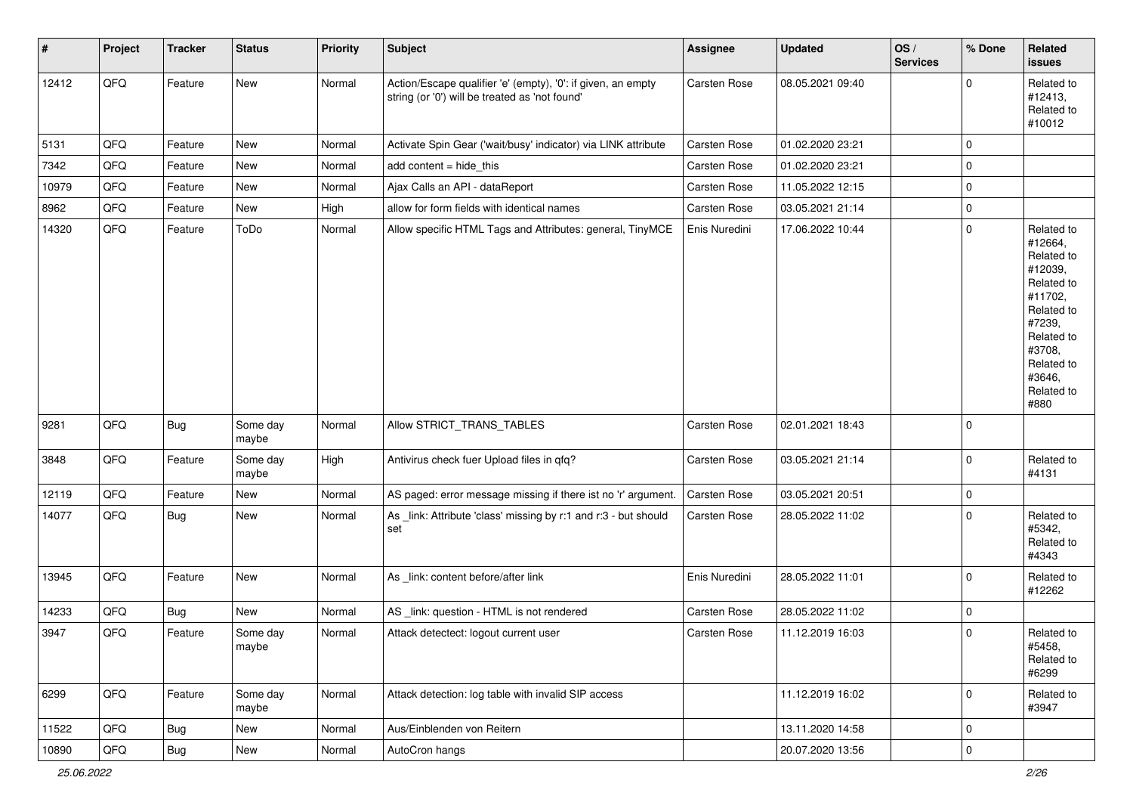| $\vert$ # | Project        | <b>Tracker</b> | <b>Status</b>     | <b>Priority</b> | <b>Subject</b>                                                                                                 | Assignee      | <b>Updated</b>   | OS/<br><b>Services</b> | % Done              | Related<br>issues                                                                                                                                                     |
|-----------|----------------|----------------|-------------------|-----------------|----------------------------------------------------------------------------------------------------------------|---------------|------------------|------------------------|---------------------|-----------------------------------------------------------------------------------------------------------------------------------------------------------------------|
| 12412     | QFQ            | Feature        | <b>New</b>        | Normal          | Action/Escape qualifier 'e' (empty), '0': if given, an empty<br>string (or '0') will be treated as 'not found' | Carsten Rose  | 08.05.2021 09:40 |                        | $\mathbf 0$         | Related to<br>#12413,<br>Related to<br>#10012                                                                                                                         |
| 5131      | QFQ            | Feature        | <b>New</b>        | Normal          | Activate Spin Gear ('wait/busy' indicator) via LINK attribute                                                  | Carsten Rose  | 01.02.2020 23:21 |                        | $\mathbf 0$         |                                                                                                                                                                       |
| 7342      | QFQ            | Feature        | <b>New</b>        | Normal          | add content = hide_this                                                                                        | Carsten Rose  | 01.02.2020 23:21 |                        | $\mathbf 0$         |                                                                                                                                                                       |
| 10979     | QFQ            | Feature        | <b>New</b>        | Normal          | Ajax Calls an API - dataReport                                                                                 | Carsten Rose  | 11.05.2022 12:15 |                        | $\mathbf 0$         |                                                                                                                                                                       |
| 8962      | QFQ            | Feature        | New               | High            | allow for form fields with identical names                                                                     | Carsten Rose  | 03.05.2021 21:14 |                        | $\pmb{0}$           |                                                                                                                                                                       |
| 14320     | QFQ            | Feature        | ToDo              | Normal          | Allow specific HTML Tags and Attributes: general, TinyMCE                                                      | Enis Nuredini | 17.06.2022 10:44 |                        | $\mathbf 0$         | Related to<br>#12664,<br>Related to<br>#12039,<br>Related to<br>#11702,<br>Related to<br>#7239,<br>Related to<br>#3708,<br>Related to<br>#3646,<br>Related to<br>#880 |
| 9281      | QFQ            | <b>Bug</b>     | Some day<br>maybe | Normal          | Allow STRICT_TRANS_TABLES                                                                                      | Carsten Rose  | 02.01.2021 18:43 |                        | $\mathbf 0$         |                                                                                                                                                                       |
| 3848      | QFQ            | Feature        | Some day<br>maybe | High            | Antivirus check fuer Upload files in qfq?                                                                      | Carsten Rose  | 03.05.2021 21:14 |                        | $\mathbf 0$         | Related to<br>#4131                                                                                                                                                   |
| 12119     | QFQ            | Feature        | New               | Normal          | AS paged: error message missing if there ist no 'r' argument.                                                  | Carsten Rose  | 03.05.2021 20:51 |                        | $\mathbf 0$         |                                                                                                                                                                       |
| 14077     | QFQ            | Bug            | New               | Normal          | As _link: Attribute 'class' missing by r:1 and r:3 - but should<br>set                                         | Carsten Rose  | 28.05.2022 11:02 |                        | $\mathbf 0$         | Related to<br>#5342,<br>Related to<br>#4343                                                                                                                           |
| 13945     | QFQ            | Feature        | New               | Normal          | As _link: content before/after link                                                                            | Enis Nuredini | 28.05.2022 11:01 |                        | $\mathbf 0$         | Related to<br>#12262                                                                                                                                                  |
| 14233     | QFQ            | <b>Bug</b>     | <b>New</b>        | Normal          | AS _link: question - HTML is not rendered                                                                      | Carsten Rose  | 28.05.2022 11:02 |                        | $\mathbf 0$         |                                                                                                                                                                       |
| 3947      | QFQ            | Feature        | Some day<br>maybe | Normal          | Attack detectect: logout current user                                                                          | Carsten Rose  | 11.12.2019 16:03 |                        | $\mathbf 0$         | Related to<br>#5458,<br>Related to<br>#6299                                                                                                                           |
| 6299      | QFQ            | Feature        | Some day<br>maybe | Normal          | Attack detection: log table with invalid SIP access                                                            |               | 11.12.2019 16:02 |                        | $\mathbf 0$         | Related to<br>#3947                                                                                                                                                   |
| 11522     | QFQ            | Bug            | New               | Normal          | Aus/Einblenden von Reitern                                                                                     |               | 13.11.2020 14:58 |                        | 0                   |                                                                                                                                                                       |
| 10890     | $\mathsf{QFQ}$ | Bug            | New               | Normal          | AutoCron hangs                                                                                                 |               | 20.07.2020 13:56 |                        | $\mathsf{O}\xspace$ |                                                                                                                                                                       |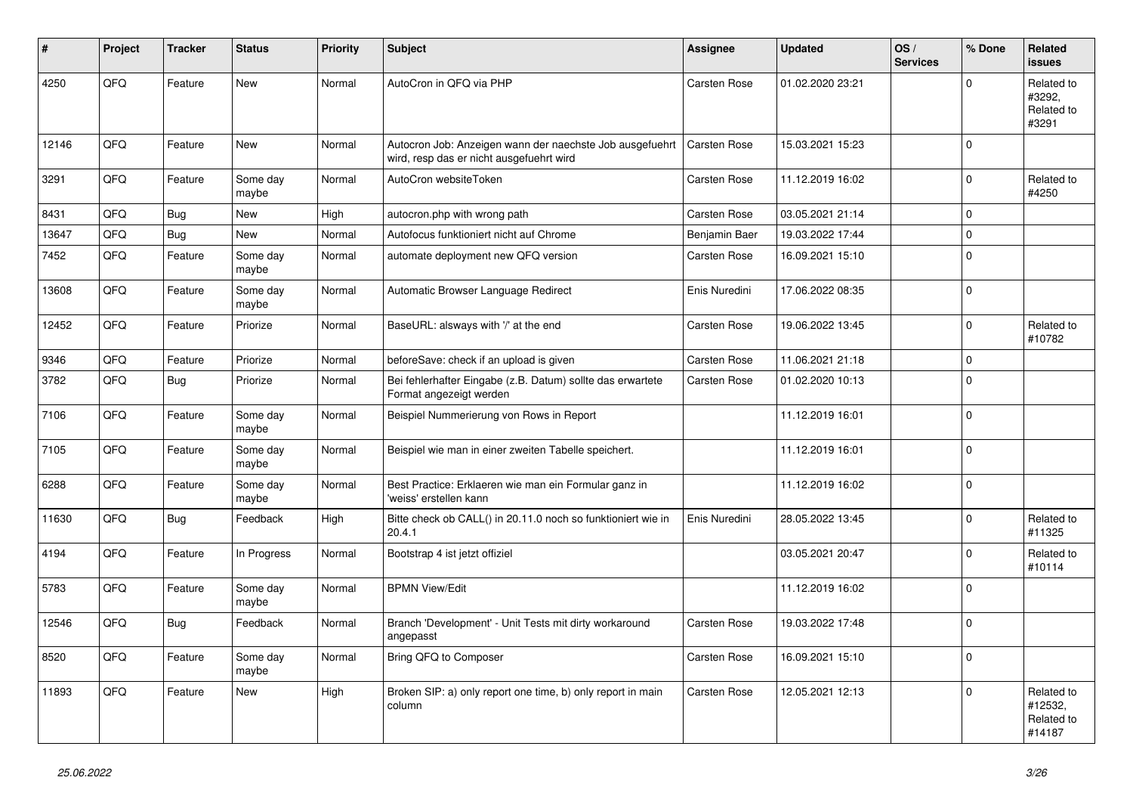| #     | Project | <b>Tracker</b> | <b>Status</b>     | <b>Priority</b> | <b>Subject</b>                                                                                       | Assignee      | <b>Updated</b>   | OS/<br><b>Services</b> | % Done       | Related<br><b>issues</b>                      |
|-------|---------|----------------|-------------------|-----------------|------------------------------------------------------------------------------------------------------|---------------|------------------|------------------------|--------------|-----------------------------------------------|
| 4250  | QFQ     | Feature        | New               | Normal          | AutoCron in QFQ via PHP                                                                              | Carsten Rose  | 01.02.2020 23:21 |                        | $\Omega$     | Related to<br>#3292,<br>Related to<br>#3291   |
| 12146 | QFQ     | Feature        | New               | Normal          | Autocron Job: Anzeigen wann der naechste Job ausgefuehrt<br>wird, resp das er nicht ausgefuehrt wird | Carsten Rose  | 15.03.2021 15:23 |                        | $\mathbf{0}$ |                                               |
| 3291  | QFQ     | Feature        | Some day<br>maybe | Normal          | AutoCron websiteToken                                                                                | Carsten Rose  | 11.12.2019 16:02 |                        | $\mathbf{0}$ | Related to<br>#4250                           |
| 8431  | QFQ     | Bug            | <b>New</b>        | High            | autocron.php with wrong path                                                                         | Carsten Rose  | 03.05.2021 21:14 |                        | $\mathbf 0$  |                                               |
| 13647 | QFQ     | Bug            | New               | Normal          | Autofocus funktioniert nicht auf Chrome                                                              | Benjamin Baer | 19.03.2022 17:44 |                        | $\mathbf 0$  |                                               |
| 7452  | QFQ     | Feature        | Some day<br>maybe | Normal          | automate deployment new QFQ version                                                                  | Carsten Rose  | 16.09.2021 15:10 |                        | $\Omega$     |                                               |
| 13608 | QFQ     | Feature        | Some day<br>maybe | Normal          | Automatic Browser Language Redirect                                                                  | Enis Nuredini | 17.06.2022 08:35 |                        | $\mathbf{0}$ |                                               |
| 12452 | QFQ     | Feature        | Priorize          | Normal          | BaseURL: alsways with '/' at the end                                                                 | Carsten Rose  | 19.06.2022 13:45 |                        | $\mathbf 0$  | Related to<br>#10782                          |
| 9346  | QFQ     | Feature        | Priorize          | Normal          | beforeSave: check if an upload is given                                                              | Carsten Rose  | 11.06.2021 21:18 |                        | $\mathbf 0$  |                                               |
| 3782  | QFQ     | Bug            | Priorize          | Normal          | Bei fehlerhafter Eingabe (z.B. Datum) sollte das erwartete<br>Format angezeigt werden                | Carsten Rose  | 01.02.2020 10:13 |                        | $\Omega$     |                                               |
| 7106  | QFQ     | Feature        | Some day<br>maybe | Normal          | Beispiel Nummerierung von Rows in Report                                                             |               | 11.12.2019 16:01 |                        | $\mathbf{0}$ |                                               |
| 7105  | QFQ     | Feature        | Some day<br>maybe | Normal          | Beispiel wie man in einer zweiten Tabelle speichert.                                                 |               | 11.12.2019 16:01 |                        | $\mathbf{0}$ |                                               |
| 6288  | QFQ     | Feature        | Some day<br>maybe | Normal          | Best Practice: Erklaeren wie man ein Formular ganz in<br>'weiss' erstellen kann                      |               | 11.12.2019 16:02 |                        | l 0          |                                               |
| 11630 | QFQ     | Bug            | Feedback          | High            | Bitte check ob CALL() in 20.11.0 noch so funktioniert wie in<br>20.4.1                               | Enis Nuredini | 28.05.2022 13:45 |                        | $\mathbf 0$  | Related to<br>#11325                          |
| 4194  | QFQ     | Feature        | In Progress       | Normal          | Bootstrap 4 ist jetzt offiziel                                                                       |               | 03.05.2021 20:47 |                        | $\mathbf 0$  | Related to<br>#10114                          |
| 5783  | QFQ     | Feature        | Some day<br>maybe | Normal          | <b>BPMN View/Edit</b>                                                                                |               | 11.12.2019 16:02 |                        | $\Omega$     |                                               |
| 12546 | QFQ     | <b>Bug</b>     | Feedback          | Normal          | Branch 'Development' - Unit Tests mit dirty workaround<br>angepasst                                  | Carsten Rose  | 19.03.2022 17:48 |                        | $\mathbf{0}$ |                                               |
| 8520  | QFQ     | Feature        | Some day<br>maybe | Normal          | Bring QFQ to Composer                                                                                | Carsten Rose  | 16.09.2021 15:10 |                        | l 0          |                                               |
| 11893 | QFQ     | Feature        | New               | High            | Broken SIP: a) only report one time, b) only report in main<br>column                                | Carsten Rose  | 12.05.2021 12:13 |                        | $\mathbf{0}$ | Related to<br>#12532,<br>Related to<br>#14187 |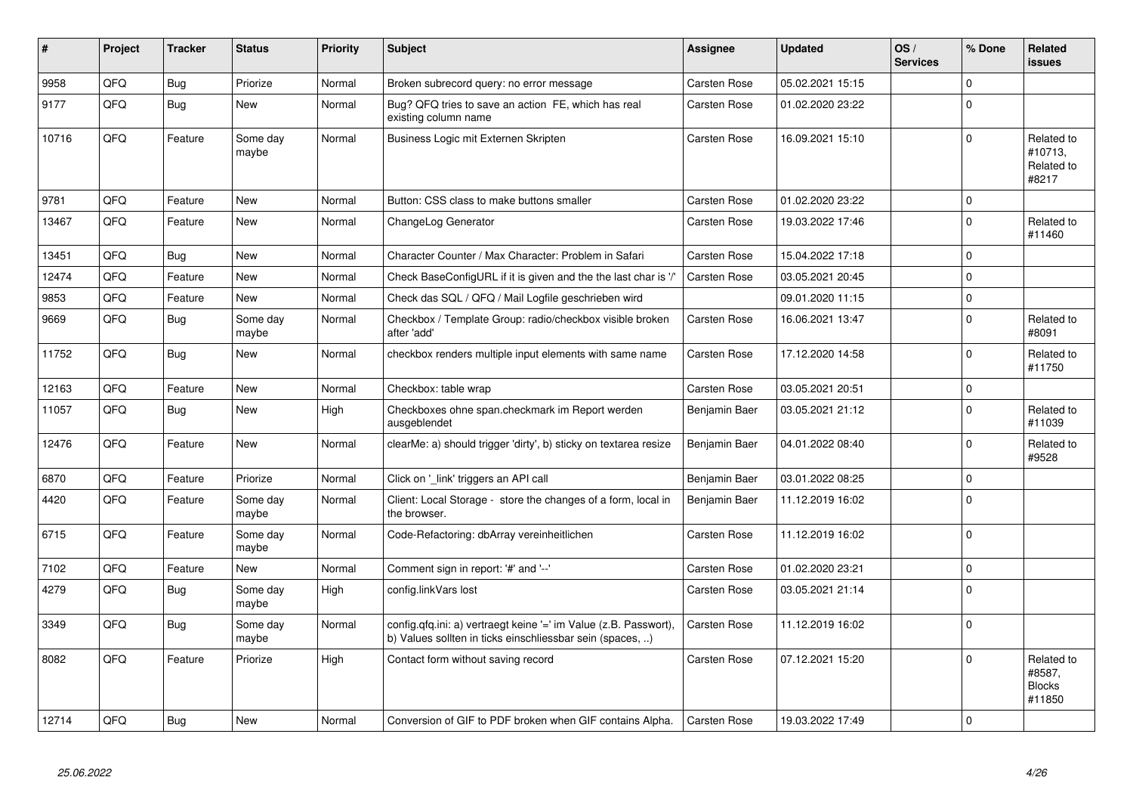| #     | Project | <b>Tracker</b> | <b>Status</b>     | <b>Priority</b> | <b>Subject</b>                                                                                                                | Assignee            | <b>Updated</b>   | OS/<br><b>Services</b> | % Done      | Related<br>issues                               |
|-------|---------|----------------|-------------------|-----------------|-------------------------------------------------------------------------------------------------------------------------------|---------------------|------------------|------------------------|-------------|-------------------------------------------------|
| 9958  | QFQ     | <b>Bug</b>     | Priorize          | Normal          | Broken subrecord query: no error message                                                                                      | <b>Carsten Rose</b> | 05.02.2021 15:15 |                        | $\Omega$    |                                                 |
| 9177  | QFQ     | Bug            | <b>New</b>        | Normal          | Bug? QFQ tries to save an action FE, which has real<br>existing column name                                                   | <b>Carsten Rose</b> | 01.02.2020 23:22 |                        | $\Omega$    |                                                 |
| 10716 | QFQ     | Feature        | Some day<br>maybe | Normal          | Business Logic mit Externen Skripten                                                                                          | <b>Carsten Rose</b> | 16.09.2021 15:10 |                        | $\Omega$    | Related to<br>#10713,<br>Related to<br>#8217    |
| 9781  | QFQ     | Feature        | <b>New</b>        | Normal          | Button: CSS class to make buttons smaller                                                                                     | <b>Carsten Rose</b> | 01.02.2020 23:22 |                        | $\Omega$    |                                                 |
| 13467 | QFQ     | Feature        | <b>New</b>        | Normal          | ChangeLog Generator                                                                                                           | Carsten Rose        | 19.03.2022 17:46 |                        | $\Omega$    | Related to<br>#11460                            |
| 13451 | QFQ     | Bug            | <b>New</b>        | Normal          | Character Counter / Max Character: Problem in Safari                                                                          | <b>Carsten Rose</b> | 15.04.2022 17:18 |                        | $\Omega$    |                                                 |
| 12474 | QFQ     | Feature        | <b>New</b>        | Normal          | Check BaseConfigURL if it is given and the the last char is '/'                                                               | <b>Carsten Rose</b> | 03.05.2021 20:45 |                        | $\mathbf 0$ |                                                 |
| 9853  | QFQ     | Feature        | <b>New</b>        | Normal          | Check das SQL / QFQ / Mail Logfile geschrieben wird                                                                           |                     | 09.01.2020 11:15 |                        | $\mathbf 0$ |                                                 |
| 9669  | QFQ     | <b>Bug</b>     | Some day<br>maybe | Normal          | Checkbox / Template Group: radio/checkbox visible broken<br>after 'add'                                                       | Carsten Rose        | 16.06.2021 13:47 |                        | $\Omega$    | Related to<br>#8091                             |
| 11752 | QFQ     | <b>Bug</b>     | <b>New</b>        | Normal          | checkbox renders multiple input elements with same name                                                                       | <b>Carsten Rose</b> | 17.12.2020 14:58 |                        | $\Omega$    | Related to<br>#11750                            |
| 12163 | QFQ     | Feature        | <b>New</b>        | Normal          | Checkbox: table wrap                                                                                                          | <b>Carsten Rose</b> | 03.05.2021 20:51 |                        | $\mathbf 0$ |                                                 |
| 11057 | QFQ     | Bug            | <b>New</b>        | High            | Checkboxes ohne span.checkmark im Report werden<br>ausgeblendet                                                               | Benjamin Baer       | 03.05.2021 21:12 |                        | $\Omega$    | Related to<br>#11039                            |
| 12476 | QFQ     | Feature        | <b>New</b>        | Normal          | clearMe: a) should trigger 'dirty', b) sticky on textarea resize                                                              | Benjamin Baer       | 04.01.2022 08:40 |                        | $\Omega$    | Related to<br>#9528                             |
| 6870  | QFQ     | Feature        | Priorize          | Normal          | Click on '_link' triggers an API call                                                                                         | Benjamin Baer       | 03.01.2022 08:25 |                        | $\mathbf 0$ |                                                 |
| 4420  | QFQ     | Feature        | Some day<br>maybe | Normal          | Client: Local Storage - store the changes of a form, local in<br>the browser.                                                 | Benjamin Baer       | 11.12.2019 16:02 |                        | $\Omega$    |                                                 |
| 6715  | QFQ     | Feature        | Some day<br>maybe | Normal          | Code-Refactoring: dbArray vereinheitlichen                                                                                    | <b>Carsten Rose</b> | 11.12.2019 16:02 |                        | $\Omega$    |                                                 |
| 7102  | QFQ     | Feature        | <b>New</b>        | Normal          | Comment sign in report: '#' and '--'                                                                                          | Carsten Rose        | 01.02.2020 23:21 |                        | $\mathbf 0$ |                                                 |
| 4279  | QFQ     | Bug            | Some day<br>maybe | High            | config.linkVars lost                                                                                                          | <b>Carsten Rose</b> | 03.05.2021 21:14 |                        | $\Omega$    |                                                 |
| 3349  | QFQ     | <b>Bug</b>     | Some day<br>maybe | Normal          | config.qfq.ini: a) vertraegt keine '=' im Value (z.B. Passwort),<br>b) Values sollten in ticks einschliessbar sein (spaces, ) | <b>Carsten Rose</b> | 11.12.2019 16:02 |                        | $\Omega$    |                                                 |
| 8082  | QFQ     | Feature        | Priorize          | High            | Contact form without saving record                                                                                            | Carsten Rose        | 07.12.2021 15:20 |                        | $\Omega$    | Related to<br>#8587,<br><b>Blocks</b><br>#11850 |
| 12714 | QFQ     | Bug            | <b>New</b>        | Normal          | Conversion of GIF to PDF broken when GIF contains Alpha.                                                                      | <b>Carsten Rose</b> | 19.03.2022 17:49 |                        | $\Omega$    |                                                 |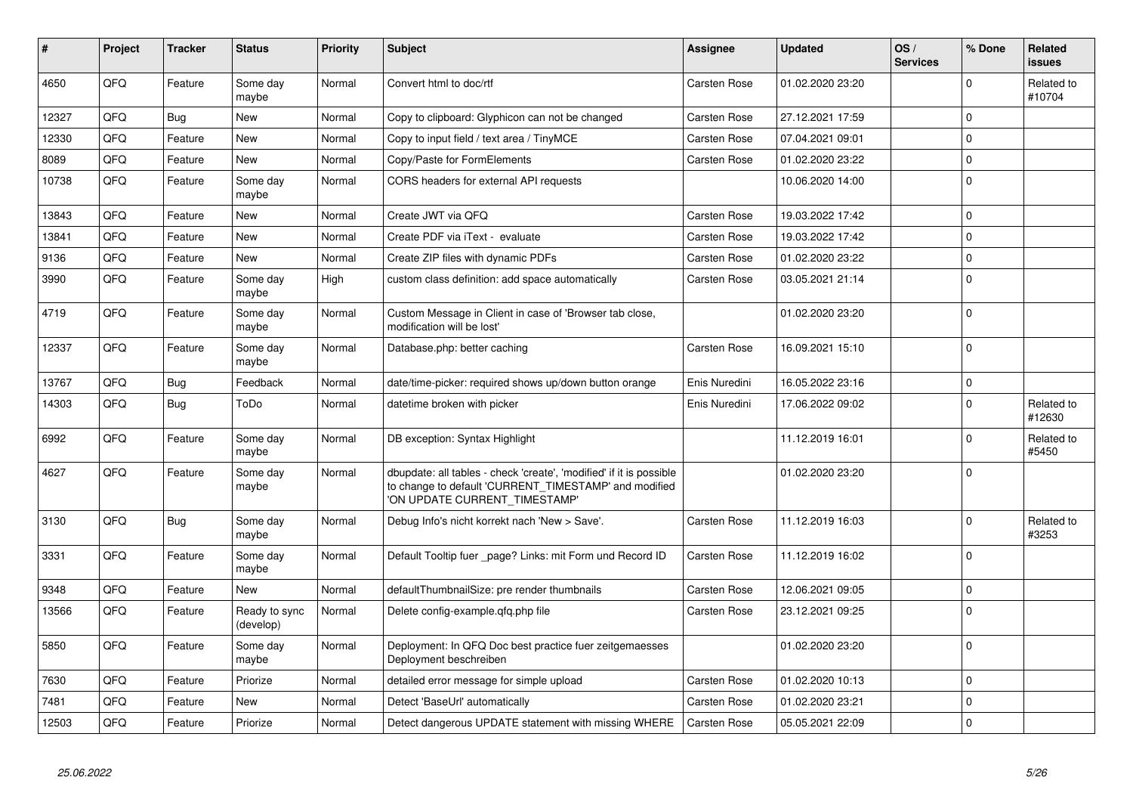| #     | Project | <b>Tracker</b> | <b>Status</b>              | <b>Priority</b> | <b>Subject</b>                                                                                                                                                | Assignee            | <b>Updated</b>   | OS/<br><b>Services</b> | % Done      | Related<br>issues    |
|-------|---------|----------------|----------------------------|-----------------|---------------------------------------------------------------------------------------------------------------------------------------------------------------|---------------------|------------------|------------------------|-------------|----------------------|
| 4650  | QFQ     | Feature        | Some day<br>maybe          | Normal          | Convert html to doc/rtf                                                                                                                                       | Carsten Rose        | 01.02.2020 23:20 |                        | $\Omega$    | Related to<br>#10704 |
| 12327 | QFQ     | Bug            | New                        | Normal          | Copy to clipboard: Glyphicon can not be changed                                                                                                               | Carsten Rose        | 27.12.2021 17:59 |                        | $\mathbf 0$ |                      |
| 12330 | QFQ     | Feature        | New                        | Normal          | Copy to input field / text area / TinyMCE                                                                                                                     | Carsten Rose        | 07.04.2021 09:01 |                        | $\Omega$    |                      |
| 8089  | QFQ     | Feature        | <b>New</b>                 | Normal          | Copy/Paste for FormElements                                                                                                                                   | Carsten Rose        | 01.02.2020 23:22 |                        | $\mathbf 0$ |                      |
| 10738 | QFQ     | Feature        | Some day<br>maybe          | Normal          | CORS headers for external API requests                                                                                                                        |                     | 10.06.2020 14:00 |                        | $\Omega$    |                      |
| 13843 | QFQ     | Feature        | New                        | Normal          | Create JWT via QFQ                                                                                                                                            | Carsten Rose        | 19.03.2022 17:42 |                        | $\Omega$    |                      |
| 13841 | QFQ     | Feature        | New                        | Normal          | Create PDF via iText - evaluate                                                                                                                               | Carsten Rose        | 19.03.2022 17:42 |                        | $\mathbf 0$ |                      |
| 9136  | QFQ     | Feature        | <b>New</b>                 | Normal          | Create ZIP files with dynamic PDFs                                                                                                                            | Carsten Rose        | 01.02.2020 23:22 |                        | $\Omega$    |                      |
| 3990  | QFQ     | Feature        | Some day<br>maybe          | High            | custom class definition: add space automatically                                                                                                              | Carsten Rose        | 03.05.2021 21:14 |                        | $\mathbf 0$ |                      |
| 4719  | QFQ     | Feature        | Some day<br>maybe          | Normal          | Custom Message in Client in case of 'Browser tab close,<br>modification will be lost'                                                                         |                     | 01.02.2020 23:20 |                        | $\mathbf 0$ |                      |
| 12337 | QFQ     | Feature        | Some day<br>maybe          | Normal          | Database.php: better caching                                                                                                                                  | Carsten Rose        | 16.09.2021 15:10 |                        | $\Omega$    |                      |
| 13767 | QFQ     | <b>Bug</b>     | Feedback                   | Normal          | date/time-picker: required shows up/down button orange                                                                                                        | Enis Nuredini       | 16.05.2022 23:16 |                        | $\mathbf 0$ |                      |
| 14303 | QFQ     | <b>Bug</b>     | ToDo                       | Normal          | datetime broken with picker                                                                                                                                   | Enis Nuredini       | 17.06.2022 09:02 |                        | $\Omega$    | Related to<br>#12630 |
| 6992  | QFQ     | Feature        | Some day<br>maybe          | Normal          | DB exception: Syntax Highlight                                                                                                                                |                     | 11.12.2019 16:01 |                        | $\Omega$    | Related to<br>#5450  |
| 4627  | QFQ     | Feature        | Some day<br>maybe          | Normal          | dbupdate: all tables - check 'create', 'modified' if it is possible<br>to change to default 'CURRENT_TIMESTAMP' and modified<br>'ON UPDATE CURRENT_TIMESTAMP' |                     | 01.02.2020 23:20 |                        | $\Omega$    |                      |
| 3130  | QFQ     | <b>Bug</b>     | Some dav<br>maybe          | Normal          | Debug Info's nicht korrekt nach 'New > Save'.                                                                                                                 | <b>Carsten Rose</b> | 11.12.2019 16:03 |                        | $\Omega$    | Related to<br>#3253  |
| 3331  | QFQ     | Feature        | Some day<br>maybe          | Normal          | Default Tooltip fuer page? Links: mit Form und Record ID                                                                                                      | Carsten Rose        | 11.12.2019 16:02 |                        | $\mathbf 0$ |                      |
| 9348  | QFQ     | Feature        | <b>New</b>                 | Normal          | defaultThumbnailSize: pre render thumbnails                                                                                                                   | Carsten Rose        | 12.06.2021 09:05 |                        | $\mathbf 0$ |                      |
| 13566 | QFQ     | Feature        | Ready to sync<br>(develop) | Normal          | Delete config-example.gfg.php file                                                                                                                            | Carsten Rose        | 23.12.2021 09:25 |                        | $\mathbf 0$ |                      |
| 5850  | QFQ     | Feature        | Some day<br>maybe          | Normal          | Deployment: In QFQ Doc best practice fuer zeitgemaesses<br>Deployment beschreiben                                                                             |                     | 01.02.2020 23:20 |                        | $\Omega$    |                      |
| 7630  | QFQ     | Feature        | Priorize                   | Normal          | detailed error message for simple upload                                                                                                                      | Carsten Rose        | 01.02.2020 10:13 |                        | $\mathbf 0$ |                      |
| 7481  | QFQ     | Feature        | <b>New</b>                 | Normal          | Detect 'BaseUrl' automatically                                                                                                                                | Carsten Rose        | 01.02.2020 23:21 |                        | $\Omega$    |                      |
| 12503 | QFQ     | Feature        | Priorize                   | Normal          | Detect dangerous UPDATE statement with missing WHERE                                                                                                          | <b>Carsten Rose</b> | 05.05.2021 22:09 |                        | $\mathbf 0$ |                      |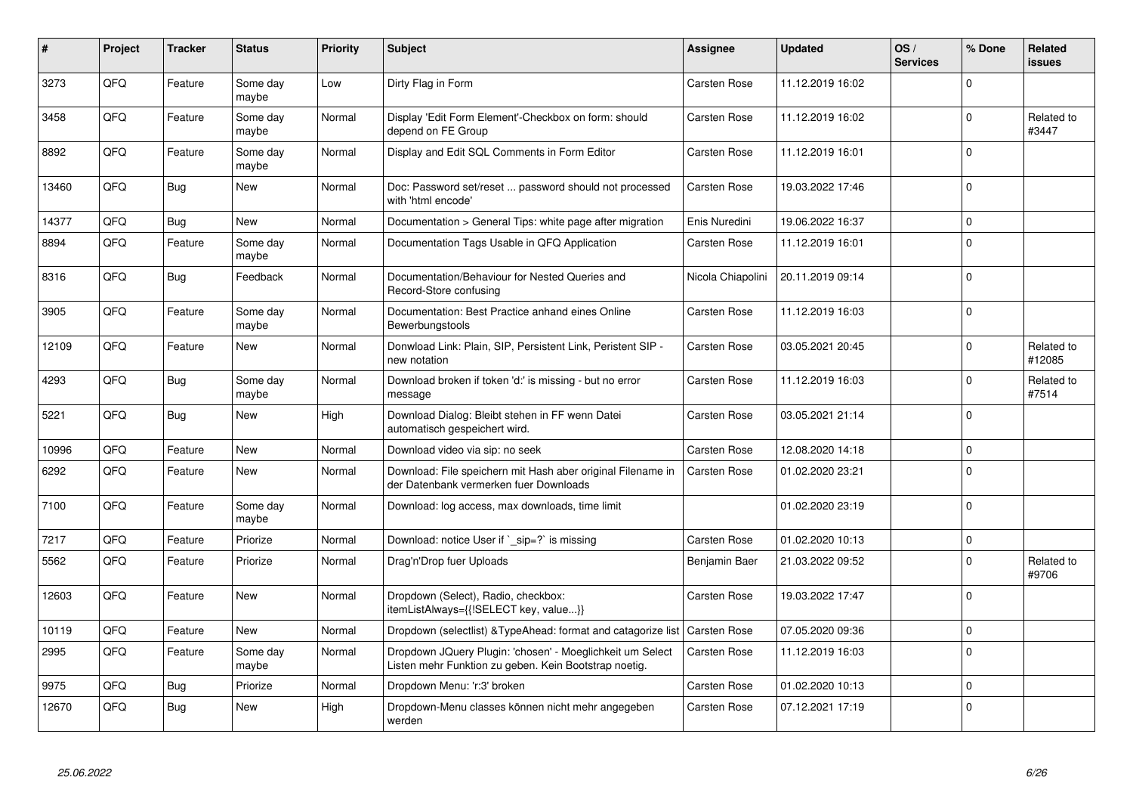| #     | Project | <b>Tracker</b> | <b>Status</b>     | <b>Priority</b> | <b>Subject</b>                                                                                                     | Assignee            | <b>Updated</b>   | OS/<br><b>Services</b> | % Done       | Related<br>issues    |
|-------|---------|----------------|-------------------|-----------------|--------------------------------------------------------------------------------------------------------------------|---------------------|------------------|------------------------|--------------|----------------------|
| 3273  | QFQ     | Feature        | Some day<br>maybe | Low             | Dirty Flag in Form                                                                                                 | <b>Carsten Rose</b> | 11.12.2019 16:02 |                        | $\Omega$     |                      |
| 3458  | QFQ     | Feature        | Some day<br>maybe | Normal          | Display 'Edit Form Element'-Checkbox on form: should<br>depend on FE Group                                         | Carsten Rose        | 11.12.2019 16:02 |                        | $\mathbf 0$  | Related to<br>#3447  |
| 8892  | QFQ     | Feature        | Some day<br>maybe | Normal          | Display and Edit SQL Comments in Form Editor                                                                       | Carsten Rose        | 11.12.2019 16:01 |                        | $\Omega$     |                      |
| 13460 | QFQ     | Bug            | New               | Normal          | Doc: Password set/reset  password should not processed<br>with 'html encode'                                       | <b>Carsten Rose</b> | 19.03.2022 17:46 |                        | $\Omega$     |                      |
| 14377 | QFQ     | <b>Bug</b>     | <b>New</b>        | Normal          | Documentation > General Tips: white page after migration                                                           | Enis Nuredini       | 19.06.2022 16:37 |                        | $\Omega$     |                      |
| 8894  | QFQ     | Feature        | Some day<br>maybe | Normal          | Documentation Tags Usable in QFQ Application                                                                       | Carsten Rose        | 11.12.2019 16:01 |                        | $\Omega$     |                      |
| 8316  | QFQ     | Bug            | Feedback          | Normal          | Documentation/Behaviour for Nested Queries and<br>Record-Store confusing                                           | Nicola Chiapolini   | 20.11.2019 09:14 |                        | $\mathbf 0$  |                      |
| 3905  | QFQ     | Feature        | Some day<br>maybe | Normal          | Documentation: Best Practice anhand eines Online<br>Bewerbungstools                                                | <b>Carsten Rose</b> | 11.12.2019 16:03 |                        | $\mathbf 0$  |                      |
| 12109 | QFQ     | Feature        | New               | Normal          | Donwload Link: Plain, SIP, Persistent Link, Peristent SIP -<br>new notation                                        | <b>Carsten Rose</b> | 03.05.2021 20:45 |                        | $\mathbf 0$  | Related to<br>#12085 |
| 4293  | QFQ     | Bug            | Some day<br>maybe | Normal          | Download broken if token 'd:' is missing - but no error<br>message                                                 | Carsten Rose        | 11.12.2019 16:03 |                        | $\mathbf 0$  | Related to<br>#7514  |
| 5221  | QFQ     | <b>Bug</b>     | New               | High            | Download Dialog: Bleibt stehen in FF wenn Datei<br>automatisch gespeichert wird.                                   | Carsten Rose        | 03.05.2021 21:14 |                        | $\Omega$     |                      |
| 10996 | QFQ     | Feature        | <b>New</b>        | Normal          | Download video via sip: no seek                                                                                    | <b>Carsten Rose</b> | 12.08.2020 14:18 |                        | $\Omega$     |                      |
| 6292  | QFQ     | Feature        | New               | Normal          | Download: File speichern mit Hash aber original Filename in<br>der Datenbank vermerken fuer Downloads              | <b>Carsten Rose</b> | 01.02.2020 23:21 |                        | $\Omega$     |                      |
| 7100  | QFQ     | Feature        | Some day<br>maybe | Normal          | Download: log access, max downloads, time limit                                                                    |                     | 01.02.2020 23:19 |                        | $\Omega$     |                      |
| 7217  | QFQ     | Feature        | Priorize          | Normal          | Download: notice User if `_sip=?` is missing                                                                       | <b>Carsten Rose</b> | 01.02.2020 10:13 |                        | $\mathbf{0}$ |                      |
| 5562  | QFQ     | Feature        | Priorize          | Normal          | Drag'n'Drop fuer Uploads                                                                                           | Benjamin Baer       | 21.03.2022 09:52 |                        | $\Omega$     | Related to<br>#9706  |
| 12603 | QFQ     | Feature        | <b>New</b>        | Normal          | Dropdown (Select), Radio, checkbox:<br>itemListAlways={{!SELECT key, value}}                                       | Carsten Rose        | 19.03.2022 17:47 |                        | $\Omega$     |                      |
| 10119 | QFQ     | Feature        | <b>New</b>        | Normal          | Dropdown (selectlist) & TypeAhead: format and catagorize list                                                      | <b>Carsten Rose</b> | 07.05.2020 09:36 |                        | $\Omega$     |                      |
| 2995  | QFQ     | Feature        | Some day<br>maybe | Normal          | Dropdown JQuery Plugin: 'chosen' - Moeglichkeit um Select<br>Listen mehr Funktion zu geben. Kein Bootstrap noetig. | <b>Carsten Rose</b> | 11.12.2019 16:03 |                        | $\Omega$     |                      |
| 9975  | QFQ     | <b>Bug</b>     | Priorize          | Normal          | Dropdown Menu: 'r:3' broken                                                                                        | Carsten Rose        | 01.02.2020 10:13 |                        | $\Omega$     |                      |
| 12670 | QFQ     | Bug            | <b>New</b>        | High            | Dropdown-Menu classes können nicht mehr angegeben<br>werden                                                        | Carsten Rose        | 07.12.2021 17:19 |                        | $\Omega$     |                      |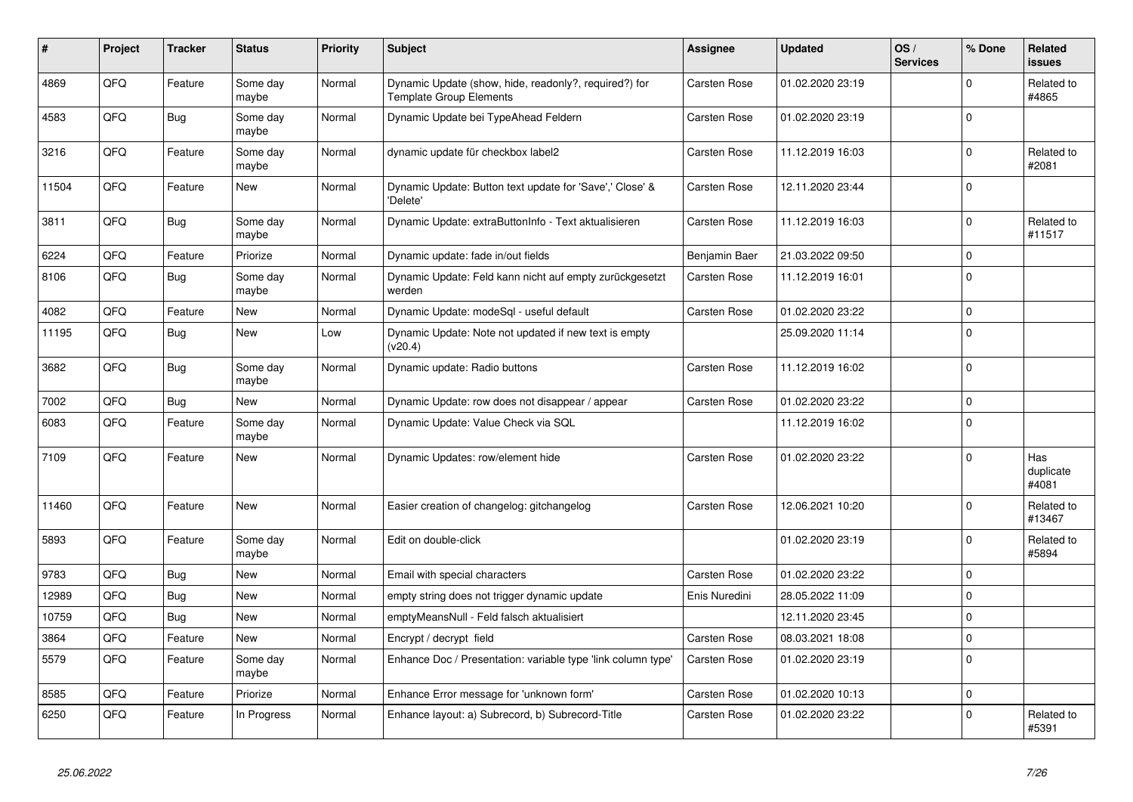| $\vert$ # | Project | <b>Tracker</b> | <b>Status</b>     | <b>Priority</b> | <b>Subject</b>                                                                          | Assignee            | <b>Updated</b>   | OS/<br><b>Services</b> | % Done       | Related<br><b>issues</b>  |
|-----------|---------|----------------|-------------------|-----------------|-----------------------------------------------------------------------------------------|---------------------|------------------|------------------------|--------------|---------------------------|
| 4869      | QFQ     | Feature        | Some day<br>maybe | Normal          | Dynamic Update (show, hide, readonly?, required?) for<br><b>Template Group Elements</b> | <b>Carsten Rose</b> | 01.02.2020 23:19 |                        | $\Omega$     | Related to<br>#4865       |
| 4583      | QFQ     | Bug            | Some day<br>maybe | Normal          | Dynamic Update bei TypeAhead Feldern                                                    | Carsten Rose        | 01.02.2020 23:19 |                        | $\mathbf 0$  |                           |
| 3216      | QFQ     | Feature        | Some day<br>maybe | Normal          | dynamic update für checkbox label2                                                      | <b>Carsten Rose</b> | 11.12.2019 16:03 |                        | $\Omega$     | Related to<br>#2081       |
| 11504     | QFQ     | Feature        | New               | Normal          | Dynamic Update: Button text update for 'Save',' Close' &<br>'Delete'                    | Carsten Rose        | 12.11.2020 23:44 |                        | $\Omega$     |                           |
| 3811      | QFQ     | <b>Bug</b>     | Some dav<br>maybe | Normal          | Dynamic Update: extraButtonInfo - Text aktualisieren                                    | Carsten Rose        | 11.12.2019 16:03 |                        | $\Omega$     | Related to<br>#11517      |
| 6224      | QFQ     | Feature        | Priorize          | Normal          | Dynamic update: fade in/out fields                                                      | Benjamin Baer       | 21.03.2022 09:50 |                        | $\Omega$     |                           |
| 8106      | QFQ     | <b>Bug</b>     | Some day<br>maybe | Normal          | Dynamic Update: Feld kann nicht auf empty zurückgesetzt<br>werden                       | Carsten Rose        | 11.12.2019 16:01 |                        | $\Omega$     |                           |
| 4082      | QFQ     | Feature        | New               | Normal          | Dynamic Update: modeSql - useful default                                                | Carsten Rose        | 01.02.2020 23:22 |                        | $\mathbf{0}$ |                           |
| 11195     | QFQ     | <b>Bug</b>     | New               | Low             | Dynamic Update: Note not updated if new text is empty<br>(v20.4)                        |                     | 25.09.2020 11:14 |                        | $\Omega$     |                           |
| 3682      | QFQ     | Bug            | Some day<br>maybe | Normal          | Dynamic update: Radio buttons                                                           | <b>Carsten Rose</b> | 11.12.2019 16:02 |                        | $\Omega$     |                           |
| 7002      | QFQ     | <b>Bug</b>     | <b>New</b>        | Normal          | Dynamic Update: row does not disappear / appear                                         | <b>Carsten Rose</b> | 01.02.2020 23:22 |                        | $\Omega$     |                           |
| 6083      | QFQ     | Feature        | Some day<br>maybe | Normal          | Dynamic Update: Value Check via SQL                                                     |                     | 11.12.2019 16:02 |                        | $\Omega$     |                           |
| 7109      | QFQ     | Feature        | New               | Normal          | Dynamic Updates: row/element hide                                                       | Carsten Rose        | 01.02.2020 23:22 |                        | $\Omega$     | Has<br>duplicate<br>#4081 |
| 11460     | QFQ     | Feature        | New               | Normal          | Easier creation of changelog: gitchangelog                                              | Carsten Rose        | 12.06.2021 10:20 |                        | $\Omega$     | Related to<br>#13467      |
| 5893      | QFQ     | Feature        | Some dav<br>maybe | Normal          | Edit on double-click                                                                    |                     | 01.02.2020 23:19 |                        | $\Omega$     | Related to<br>#5894       |
| 9783      | QFQ     | Bug            | <b>New</b>        | Normal          | Email with special characters                                                           | Carsten Rose        | 01.02.2020 23:22 |                        | $\mathbf 0$  |                           |
| 12989     | QFQ     | Bug            | <b>New</b>        | Normal          | empty string does not trigger dynamic update                                            | Enis Nuredini       | 28.05.2022 11:09 |                        | $\Omega$     |                           |
| 10759     | QFQ     | <b>Bug</b>     | <b>New</b>        | Normal          | emptyMeansNull - Feld falsch aktualisiert                                               |                     | 12.11.2020 23:45 |                        | $\Omega$     |                           |
| 3864      | QFQ     | Feature        | New               | Normal          | Encrypt / decrypt field                                                                 | <b>Carsten Rose</b> | 08.03.2021 18:08 |                        | $\mathbf 0$  |                           |
| 5579      | QFQ     | Feature        | Some day<br>maybe | Normal          | Enhance Doc / Presentation: variable type 'link column type'                            | Carsten Rose        | 01.02.2020 23:19 |                        | $\Omega$     |                           |
| 8585      | QFQ     | Feature        | Priorize          | Normal          | Enhance Error message for 'unknown form'                                                | Carsten Rose        | 01.02.2020 10:13 |                        | $\mathbf 0$  |                           |
| 6250      | QFQ     | Feature        | In Progress       | Normal          | Enhance layout: a) Subrecord, b) Subrecord-Title                                        | <b>Carsten Rose</b> | 01.02.2020 23:22 |                        | $\Omega$     | Related to<br>#5391       |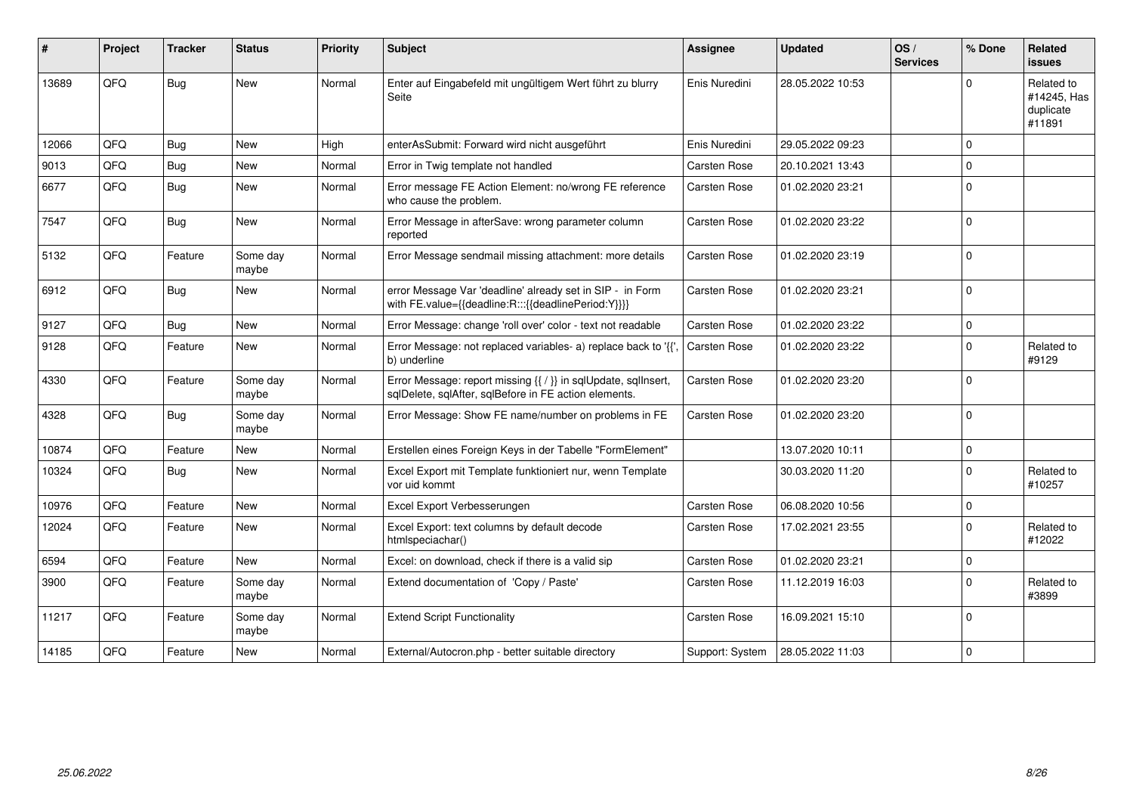| #     | Project | <b>Tracker</b> | <b>Status</b>     | <b>Priority</b> | <b>Subject</b>                                                                                                          | <b>Assignee</b>     | <b>Updated</b>   | OS/<br><b>Services</b> | % Done      | Related<br>issues                                |
|-------|---------|----------------|-------------------|-----------------|-------------------------------------------------------------------------------------------------------------------------|---------------------|------------------|------------------------|-------------|--------------------------------------------------|
| 13689 | QFQ     | <b>Bug</b>     | <b>New</b>        | Normal          | Enter auf Eingabefeld mit ungültigem Wert führt zu blurry<br>Seite                                                      | Enis Nuredini       | 28.05.2022 10:53 |                        | $\Omega$    | Related to<br>#14245, Has<br>duplicate<br>#11891 |
| 12066 | QFQ     | <b>Bug</b>     | <b>New</b>        | High            | enterAsSubmit: Forward wird nicht ausgeführt                                                                            | Enis Nuredini       | 29.05.2022 09:23 |                        | $\Omega$    |                                                  |
| 9013  | QFQ     | <b>Bug</b>     | <b>New</b>        | Normal          | Error in Twig template not handled                                                                                      | Carsten Rose        | 20.10.2021 13:43 |                        | $\Omega$    |                                                  |
| 6677  | QFQ     | Bug            | New               | Normal          | Error message FE Action Element: no/wrong FE reference<br>who cause the problem.                                        | Carsten Rose        | 01.02.2020 23:21 |                        | $\Omega$    |                                                  |
| 7547  | QFQ     | Bug            | <b>New</b>        | Normal          | Error Message in afterSave: wrong parameter column<br>reported                                                          | <b>Carsten Rose</b> | 01.02.2020 23:22 |                        | $\Omega$    |                                                  |
| 5132  | QFQ     | Feature        | Some day<br>maybe | Normal          | Error Message sendmail missing attachment: more details                                                                 | <b>Carsten Rose</b> | 01.02.2020 23:19 |                        | $\mathbf 0$ |                                                  |
| 6912  | QFQ     | <b>Bug</b>     | New               | Normal          | error Message Var 'deadline' already set in SIP - in Form<br>with FE.value={{deadline:R:::{{deadlinePeriod:Y}}}}        | Carsten Rose        | 01.02.2020 23:21 |                        | $\Omega$    |                                                  |
| 9127  | QFQ     | Bug            | <b>New</b>        | Normal          | Error Message: change 'roll over' color - text not readable                                                             | <b>Carsten Rose</b> | 01.02.2020 23:22 |                        | $\mathbf 0$ |                                                  |
| 9128  | QFQ     | Feature        | New               | Normal          | Error Message: not replaced variables- a) replace back to '{{'<br>b) underline                                          | <b>Carsten Rose</b> | 01.02.2020 23:22 |                        | $\Omega$    | Related to<br>#9129                              |
| 4330  | QFQ     | Feature        | Some day<br>maybe | Normal          | Error Message: report missing {{ / }} in sqlUpdate, sqlInsert,<br>sqlDelete, sqlAfter, sqlBefore in FE action elements. | Carsten Rose        | 01.02.2020 23:20 |                        | $\Omega$    |                                                  |
| 4328  | QFQ     | Bug            | Some day<br>maybe | Normal          | Error Message: Show FE name/number on problems in FE                                                                    | <b>Carsten Rose</b> | 01.02.2020 23:20 |                        | $\Omega$    |                                                  |
| 10874 | QFQ     | Feature        | New               | Normal          | Erstellen eines Foreign Keys in der Tabelle "FormElement"                                                               |                     | 13.07.2020 10:11 |                        | $\Omega$    |                                                  |
| 10324 | QFQ     | Bug            | New               | Normal          | Excel Export mit Template funktioniert nur, wenn Template<br>vor uid kommt                                              |                     | 30.03.2020 11:20 |                        | $\Omega$    | Related to<br>#10257                             |
| 10976 | QFQ     | Feature        | <b>New</b>        | Normal          | Excel Export Verbesserungen                                                                                             | <b>Carsten Rose</b> | 06.08.2020 10:56 |                        | $\Omega$    |                                                  |
| 12024 | QFQ     | Feature        | New               | Normal          | Excel Export: text columns by default decode<br>htmlspeciachar()                                                        | Carsten Rose        | 17.02.2021 23:55 |                        | $\Omega$    | Related to<br>#12022                             |
| 6594  | QFQ     | Feature        | <b>New</b>        | Normal          | Excel: on download, check if there is a valid sip                                                                       | Carsten Rose        | 01.02.2020 23:21 |                        | $\Omega$    |                                                  |
| 3900  | QFQ     | Feature        | Some day<br>maybe | Normal          | Extend documentation of 'Copy / Paste'                                                                                  | <b>Carsten Rose</b> | 11.12.2019 16:03 |                        | $\Omega$    | Related to<br>#3899                              |
| 11217 | QFQ     | Feature        | Some day<br>maybe | Normal          | <b>Extend Script Functionality</b>                                                                                      | Carsten Rose        | 16.09.2021 15:10 |                        | $\Omega$    |                                                  |
| 14185 | QFQ     | Feature        | <b>New</b>        | Normal          | External/Autocron.php - better suitable directory                                                                       | Support: System     | 28.05.2022 11:03 |                        | $\Omega$    |                                                  |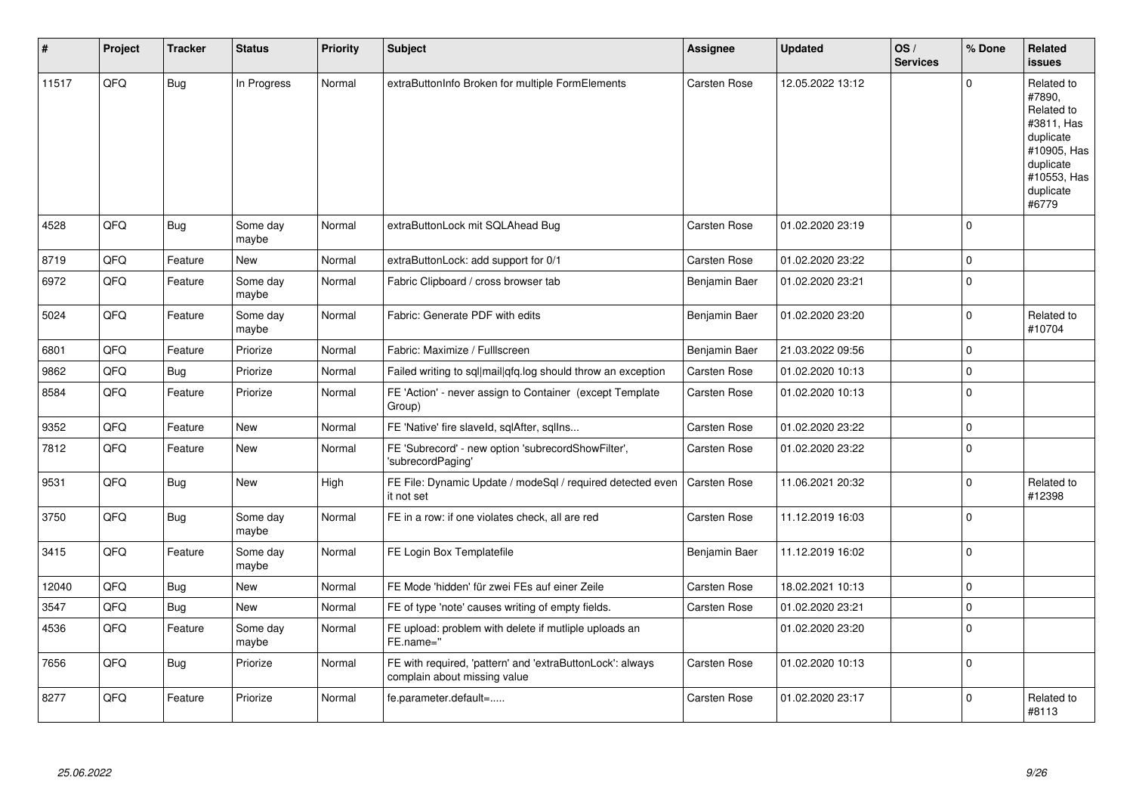| $\sharp$ | Project | <b>Tracker</b> | <b>Status</b>     | <b>Priority</b> | <b>Subject</b>                                                                            | Assignee            | <b>Updated</b>   | OS/<br><b>Services</b> | % Done              | Related<br>issues                                                                                                              |
|----------|---------|----------------|-------------------|-----------------|-------------------------------------------------------------------------------------------|---------------------|------------------|------------------------|---------------------|--------------------------------------------------------------------------------------------------------------------------------|
| 11517    | QFQ     | <b>Bug</b>     | In Progress       | Normal          | extraButtonInfo Broken for multiple FormElements                                          | <b>Carsten Rose</b> | 12.05.2022 13:12 |                        | $\Omega$            | Related to<br>#7890,<br>Related to<br>#3811, Has<br>duplicate<br>#10905, Has<br>duplicate<br>#10553, Has<br>duplicate<br>#6779 |
| 4528     | QFQ     | <b>Bug</b>     | Some day<br>maybe | Normal          | extraButtonLock mit SQLAhead Bug                                                          | <b>Carsten Rose</b> | 01.02.2020 23:19 |                        | $\Omega$            |                                                                                                                                |
| 8719     | QFQ     | Feature        | New               | Normal          | extraButtonLock: add support for 0/1                                                      | Carsten Rose        | 01.02.2020 23:22 |                        | $\mathbf 0$         |                                                                                                                                |
| 6972     | QFQ     | Feature        | Some dav<br>maybe | Normal          | Fabric Clipboard / cross browser tab                                                      | Benjamin Baer       | 01.02.2020 23:21 |                        | $\mathbf 0$         |                                                                                                                                |
| 5024     | QFQ     | Feature        | Some day<br>maybe | Normal          | Fabric: Generate PDF with edits                                                           | Benjamin Baer       | 01.02.2020 23:20 |                        | $\mathbf 0$         | Related to<br>#10704                                                                                                           |
| 6801     | QFQ     | Feature        | Priorize          | Normal          | Fabric: Maximize / Fulllscreen                                                            | Benjamin Baer       | 21.03.2022 09:56 |                        | $\mathbf 0$         |                                                                                                                                |
| 9862     | QFQ     | Bug            | Priorize          | Normal          | Failed writing to sql mail qfq.log should throw an exception                              | Carsten Rose        | 01.02.2020 10:13 |                        | $\mathbf 0$         |                                                                                                                                |
| 8584     | QFQ     | Feature        | Priorize          | Normal          | FE 'Action' - never assign to Container (except Template<br>Group)                        | Carsten Rose        | 01.02.2020 10:13 |                        | $\Omega$            |                                                                                                                                |
| 9352     | QFQ     | Feature        | <b>New</b>        | Normal          | FE 'Native' fire slaveld, sqlAfter, sqlIns                                                | Carsten Rose        | 01.02.2020 23:22 |                        | $\pmb{0}$           |                                                                                                                                |
| 7812     | QFQ     | Feature        | New               | Normal          | FE 'Subrecord' - new option 'subrecordShowFilter',<br>'subrecordPaging'                   | <b>Carsten Rose</b> | 01.02.2020 23:22 |                        | $\Omega$            |                                                                                                                                |
| 9531     | QFQ     | Bug            | New               | High            | FE File: Dynamic Update / modeSgl / required detected even<br>it not set                  | <b>Carsten Rose</b> | 11.06.2021 20:32 |                        | $\mathbf 0$         | Related to<br>#12398                                                                                                           |
| 3750     | QFQ     | Bug            | Some day<br>maybe | Normal          | FE in a row: if one violates check, all are red                                           | Carsten Rose        | 11.12.2019 16:03 |                        | $\mathbf 0$         |                                                                                                                                |
| 3415     | QFQ     | Feature        | Some day<br>maybe | Normal          | FE Login Box Templatefile                                                                 | Benjamin Baer       | 11.12.2019 16:02 |                        | $\Omega$            |                                                                                                                                |
| 12040    | QFQ     | <b>Bug</b>     | <b>New</b>        | Normal          | FE Mode 'hidden' für zwei FEs auf einer Zeile                                             | <b>Carsten Rose</b> | 18.02.2021 10:13 |                        | $\mathbf 0$         |                                                                                                                                |
| 3547     | QFQ     | <b>Bug</b>     | New               | Normal          | FE of type 'note' causes writing of empty fields.                                         | Carsten Rose        | 01.02.2020 23:21 |                        | $\mathsf{O}\xspace$ |                                                                                                                                |
| 4536     | QFQ     | Feature        | Some day<br>maybe | Normal          | FE upload: problem with delete if mutliple uploads an<br>FE.name="                        |                     | 01.02.2020 23:20 |                        | $\Omega$            |                                                                                                                                |
| 7656     | QFQ     | Bug            | Priorize          | Normal          | FE with required, 'pattern' and 'extraButtonLock': always<br>complain about missing value | <b>Carsten Rose</b> | 01.02.2020 10:13 |                        | $\mathbf 0$         |                                                                                                                                |
| 8277     | QFQ     | Feature        | Priorize          | Normal          | fe.parameter.default=                                                                     | Carsten Rose        | 01.02.2020 23:17 |                        | $\mathbf 0$         | Related to<br>#8113                                                                                                            |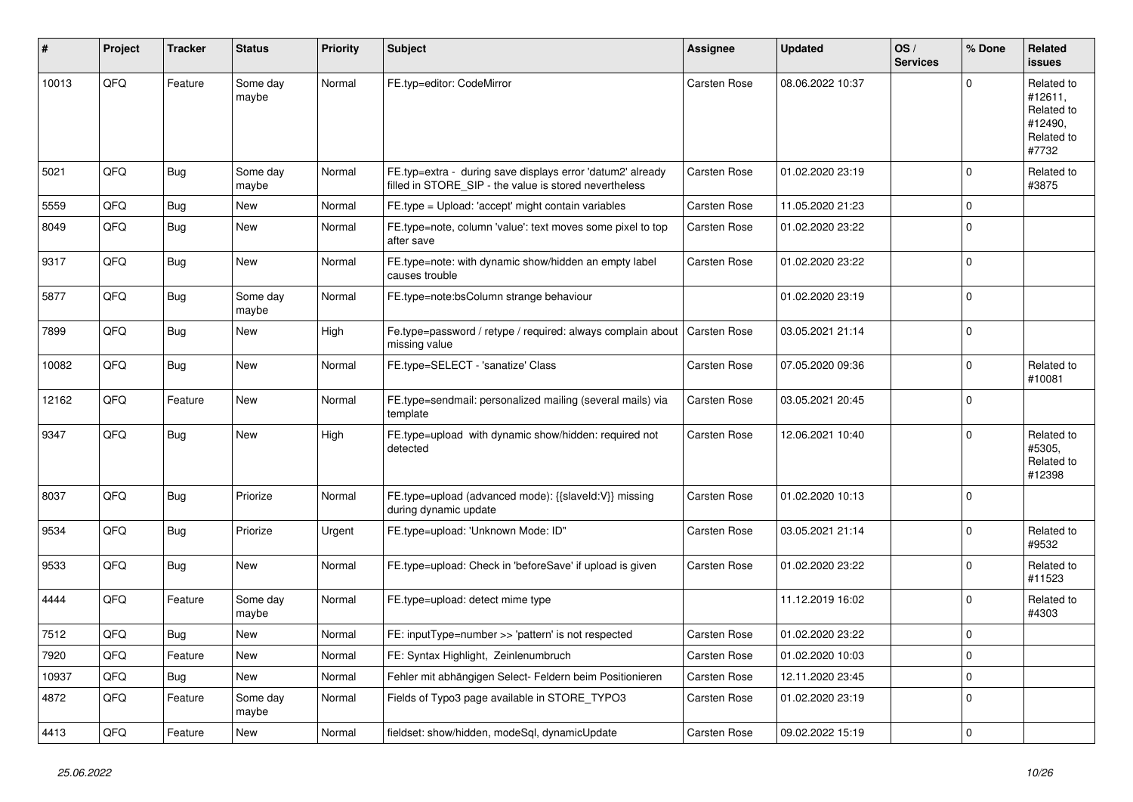| ∦     | Project | <b>Tracker</b> | <b>Status</b>     | <b>Priority</b> | <b>Subject</b>                                                                                                       | <b>Assignee</b>     | <b>Updated</b>   | OS/<br><b>Services</b> | % Done      | Related<br><b>issues</b>                                              |
|-------|---------|----------------|-------------------|-----------------|----------------------------------------------------------------------------------------------------------------------|---------------------|------------------|------------------------|-------------|-----------------------------------------------------------------------|
| 10013 | QFQ     | Feature        | Some day<br>maybe | Normal          | FE.typ=editor: CodeMirror                                                                                            | <b>Carsten Rose</b> | 08.06.2022 10:37 |                        | $\Omega$    | Related to<br>#12611,<br>Related to<br>#12490,<br>Related to<br>#7732 |
| 5021  | QFQ     | Bug            | Some day<br>maybe | Normal          | FE.typ=extra - during save displays error 'datum2' already<br>filled in STORE SIP - the value is stored nevertheless | Carsten Rose        | 01.02.2020 23:19 |                        | $\Omega$    | Related to<br>#3875                                                   |
| 5559  | QFQ     | Bug            | <b>New</b>        | Normal          | FE.type = Upload: 'accept' might contain variables                                                                   | Carsten Rose        | 11.05.2020 21:23 |                        | $\Omega$    |                                                                       |
| 8049  | QFQ     | Bug            | <b>New</b>        | Normal          | FE.type=note, column 'value': text moves some pixel to top<br>after save                                             | <b>Carsten Rose</b> | 01.02.2020 23:22 |                        | $\Omega$    |                                                                       |
| 9317  | QFQ     | Bug            | <b>New</b>        | Normal          | FE.type=note: with dynamic show/hidden an empty label<br>causes trouble                                              | Carsten Rose        | 01.02.2020 23:22 |                        | $\Omega$    |                                                                       |
| 5877  | QFQ     | <b>Bug</b>     | Some day<br>maybe | Normal          | FE.type=note:bsColumn strange behaviour                                                                              |                     | 01.02.2020 23:19 |                        | $\Omega$    |                                                                       |
| 7899  | QFQ     | Bug            | New               | High            | Fe.type=password / retype / required: always complain about<br>missing value                                         | <b>Carsten Rose</b> | 03.05.2021 21:14 |                        | $\Omega$    |                                                                       |
| 10082 | QFQ     | Bug            | <b>New</b>        | Normal          | FE.type=SELECT - 'sanatize' Class                                                                                    | Carsten Rose        | 07.05.2020 09:36 |                        | $\Omega$    | Related to<br>#10081                                                  |
| 12162 | QFQ     | Feature        | New               | Normal          | FE.type=sendmail: personalized mailing (several mails) via<br>template                                               | <b>Carsten Rose</b> | 03.05.2021 20:45 |                        | $\mathbf 0$ |                                                                       |
| 9347  | QFQ     | Bug            | <b>New</b>        | High            | FE.type=upload with dynamic show/hidden: required not<br>detected                                                    | Carsten Rose        | 12.06.2021 10:40 |                        | $\Omega$    | Related to<br>#5305.<br>Related to<br>#12398                          |
| 8037  | QFQ     | Bug            | Priorize          | Normal          | FE.type=upload (advanced mode): {{slaveld:V}} missing<br>during dynamic update                                       | <b>Carsten Rose</b> | 01.02.2020 10:13 |                        | $\Omega$    |                                                                       |
| 9534  | QFQ     | <b>Bug</b>     | Priorize          | Urgent          | FE.type=upload: 'Unknown Mode: ID"                                                                                   | Carsten Rose        | 03.05.2021 21:14 |                        | $\mathbf 0$ | Related to<br>#9532                                                   |
| 9533  | QFQ     | Bug            | New               | Normal          | FE.type=upload: Check in 'beforeSave' if upload is given                                                             | Carsten Rose        | 01.02.2020 23:22 |                        | $\Omega$    | Related to<br>#11523                                                  |
| 4444  | QFQ     | Feature        | Some day<br>maybe | Normal          | FE.type=upload: detect mime type                                                                                     |                     | 11.12.2019 16:02 |                        | $\Omega$    | Related to<br>#4303                                                   |
| 7512  | QFQ     | Bug            | <b>New</b>        | Normal          | FE: inputType=number >> 'pattern' is not respected                                                                   | Carsten Rose        | 01.02.2020 23:22 |                        | $\Omega$    |                                                                       |
| 7920  | QFQ     | Feature        | <b>New</b>        | Normal          | FE: Syntax Highlight, Zeinlenumbruch                                                                                 | Carsten Rose        | 01.02.2020 10:03 |                        | $\Omega$    |                                                                       |
| 10937 | QFQ     | Bug            | <b>New</b>        | Normal          | Fehler mit abhängigen Select- Feldern beim Positionieren                                                             | Carsten Rose        | 12.11.2020 23:45 |                        | $\Omega$    |                                                                       |
| 4872  | QFQ     | Feature        | Some day<br>maybe | Normal          | Fields of Typo3 page available in STORE_TYPO3                                                                        | Carsten Rose        | 01.02.2020 23:19 |                        | $\Omega$    |                                                                       |
| 4413  | QFQ     | Feature        | <b>New</b>        | Normal          | fieldset: show/hidden, modeSql, dynamicUpdate                                                                        | <b>Carsten Rose</b> | 09.02.2022 15:19 |                        | $\mathbf 0$ |                                                                       |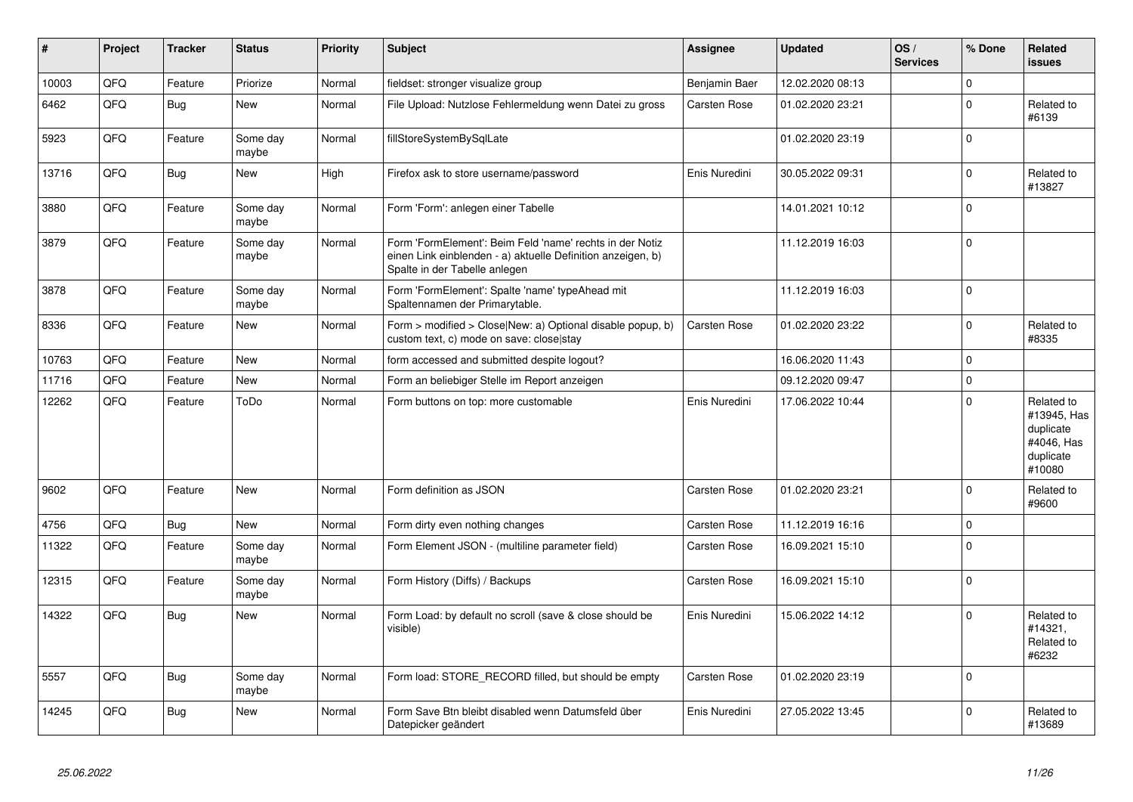| $\vert$ # | Project | <b>Tracker</b> | <b>Status</b>     | <b>Priority</b> | <b>Subject</b>                                                                                                                                           | Assignee            | <b>Updated</b>   | OS/<br><b>Services</b> | % Done      | Related<br><b>issues</b>                                                    |
|-----------|---------|----------------|-------------------|-----------------|----------------------------------------------------------------------------------------------------------------------------------------------------------|---------------------|------------------|------------------------|-------------|-----------------------------------------------------------------------------|
| 10003     | QFQ     | Feature        | Priorize          | Normal          | fieldset: stronger visualize group                                                                                                                       | Benjamin Baer       | 12.02.2020 08:13 |                        | $\Omega$    |                                                                             |
| 6462      | QFQ     | <b>Bug</b>     | <b>New</b>        | Normal          | File Upload: Nutzlose Fehlermeldung wenn Datei zu gross                                                                                                  | Carsten Rose        | 01.02.2020 23:21 |                        | $\Omega$    | Related to<br>#6139                                                         |
| 5923      | QFQ     | Feature        | Some day<br>maybe | Normal          | fillStoreSystemBySqlLate                                                                                                                                 |                     | 01.02.2020 23:19 |                        | $\Omega$    |                                                                             |
| 13716     | QFQ     | Bug            | New               | High            | Firefox ask to store username/password                                                                                                                   | Enis Nuredini       | 30.05.2022 09:31 |                        | $\Omega$    | Related to<br>#13827                                                        |
| 3880      | QFQ     | Feature        | Some day<br>maybe | Normal          | Form 'Form': anlegen einer Tabelle                                                                                                                       |                     | 14.01.2021 10:12 |                        | $\Omega$    |                                                                             |
| 3879      | QFQ     | Feature        | Some day<br>maybe | Normal          | Form 'FormElement': Beim Feld 'name' rechts in der Notiz<br>einen Link einblenden - a) aktuelle Definition anzeigen, b)<br>Spalte in der Tabelle anlegen |                     | 11.12.2019 16:03 |                        | $\Omega$    |                                                                             |
| 3878      | QFQ     | Feature        | Some day<br>maybe | Normal          | Form 'FormElement': Spalte 'name' typeAhead mit<br>Spaltennamen der Primarytable.                                                                        |                     | 11.12.2019 16:03 |                        | $\Omega$    |                                                                             |
| 8336      | QFQ     | Feature        | New               | Normal          | Form > modified > Close New: a) Optional disable popup, b)<br>custom text, c) mode on save: close stay                                                   | Carsten Rose        | 01.02.2020 23:22 |                        | $\Omega$    | Related to<br>#8335                                                         |
| 10763     | QFQ     | Feature        | <b>New</b>        | Normal          | form accessed and submitted despite logout?                                                                                                              |                     | 16.06.2020 11:43 |                        | $\mathbf 0$ |                                                                             |
| 11716     | QFQ     | Feature        | New               | Normal          | Form an beliebiger Stelle im Report anzeigen                                                                                                             |                     | 09.12.2020 09:47 |                        | $\Omega$    |                                                                             |
| 12262     | QFQ     | Feature        | ToDo              | Normal          | Form buttons on top: more customable                                                                                                                     | Enis Nuredini       | 17.06.2022 10:44 |                        | $\Omega$    | Related to<br>#13945, Has<br>duplicate<br>#4046, Has<br>duplicate<br>#10080 |
| 9602      | QFQ     | Feature        | <b>New</b>        | Normal          | Form definition as JSON                                                                                                                                  | <b>Carsten Rose</b> | 01.02.2020 23:21 |                        | $\Omega$    | Related to<br>#9600                                                         |
| 4756      | QFQ     | <b>Bug</b>     | <b>New</b>        | Normal          | Form dirty even nothing changes                                                                                                                          | Carsten Rose        | 11.12.2019 16:16 |                        | $\Omega$    |                                                                             |
| 11322     | QFQ     | Feature        | Some day<br>maybe | Normal          | Form Element JSON - (multiline parameter field)                                                                                                          | Carsten Rose        | 16.09.2021 15:10 |                        | $\Omega$    |                                                                             |
| 12315     | QFQ     | Feature        | Some day<br>maybe | Normal          | Form History (Diffs) / Backups                                                                                                                           | Carsten Rose        | 16.09.2021 15:10 |                        | $\Omega$    |                                                                             |
| 14322     | QFQ     | <b>Bug</b>     | New               | Normal          | Form Load: by default no scroll (save & close should be<br>visible)                                                                                      | Enis Nuredini       | 15.06.2022 14:12 |                        | $\Omega$    | Related to<br>#14321.<br>Related to<br>#6232                                |
| 5557      | QFQ     | <b>Bug</b>     | Some day<br>maybe | Normal          | Form load: STORE RECORD filled, but should be empty                                                                                                      | Carsten Rose        | 01.02.2020 23:19 |                        | $\Omega$    |                                                                             |
| 14245     | QFQ     | <b>Bug</b>     | <b>New</b>        | Normal          | Form Save Btn bleibt disabled wenn Datumsfeld über<br>Datepicker geändert                                                                                | Enis Nuredini       | 27.05.2022 13:45 |                        | $\Omega$    | Related to<br>#13689                                                        |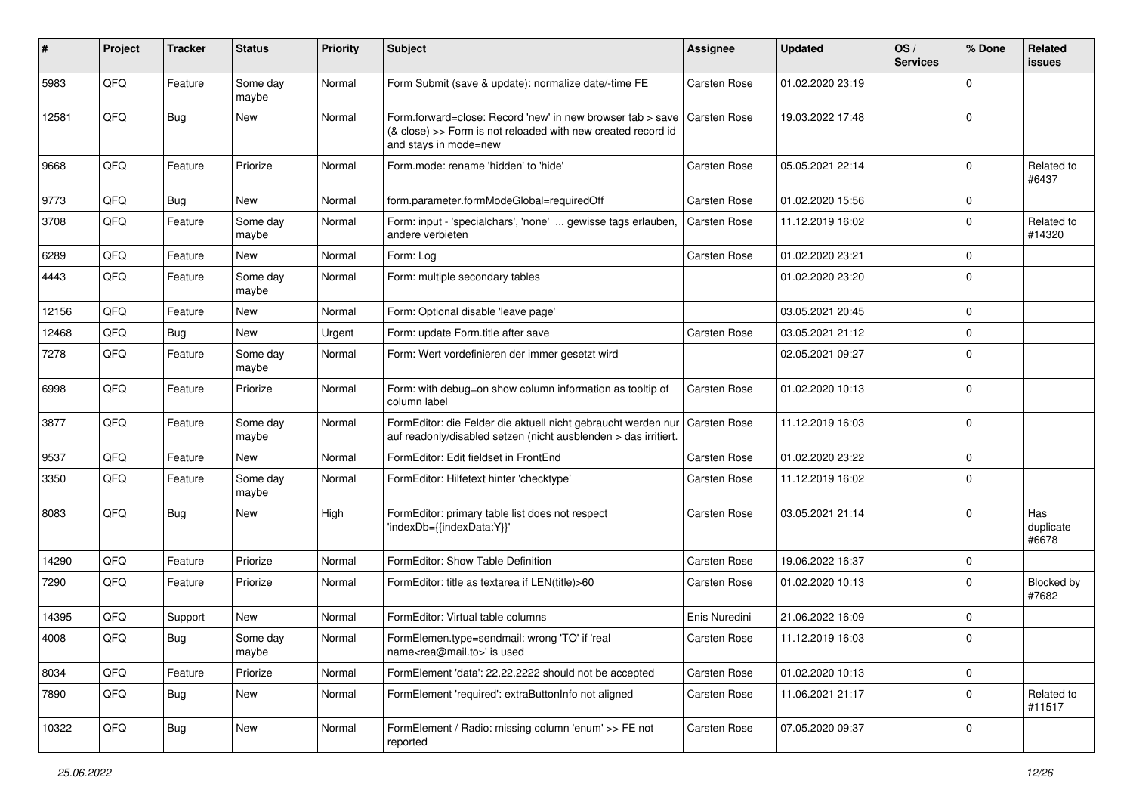| #     | Project | <b>Tracker</b> | <b>Status</b>     | <b>Priority</b> | <b>Subject</b>                                                                                                                                      | <b>Assignee</b>     | <b>Updated</b>   | OS/<br><b>Services</b> | % Done      | Related<br><b>issues</b>  |
|-------|---------|----------------|-------------------|-----------------|-----------------------------------------------------------------------------------------------------------------------------------------------------|---------------------|------------------|------------------------|-------------|---------------------------|
| 5983  | QFQ     | Feature        | Some day<br>maybe | Normal          | Form Submit (save & update): normalize date/-time FE                                                                                                | Carsten Rose        | 01.02.2020 23:19 |                        | $\Omega$    |                           |
| 12581 | QFQ     | Bug            | New               | Normal          | Form.forward=close: Record 'new' in new browser tab > save<br>(& close) >> Form is not reloaded with new created record id<br>and stays in mode=new | <b>Carsten Rose</b> | 19.03.2022 17:48 |                        | $\Omega$    |                           |
| 9668  | QFQ     | Feature        | Priorize          | Normal          | Form.mode: rename 'hidden' to 'hide'                                                                                                                | Carsten Rose        | 05.05.2021 22:14 |                        | $\Omega$    | Related to<br>#6437       |
| 9773  | QFQ     | <b>Bug</b>     | <b>New</b>        | Normal          | form.parameter.formModeGlobal=requiredOff                                                                                                           | <b>Carsten Rose</b> | 01.02.2020 15:56 |                        | 0           |                           |
| 3708  | QFQ     | Feature        | Some day<br>maybe | Normal          | Form: input - 'specialchars', 'none'  gewisse tags erlauben,<br>andere verbieten                                                                    | <b>Carsten Rose</b> | 11.12.2019 16:02 |                        | $\Omega$    | Related to<br>#14320      |
| 6289  | QFQ     | Feature        | <b>New</b>        | Normal          | Form: Log                                                                                                                                           | Carsten Rose        | 01.02.2020 23:21 |                        | $\Omega$    |                           |
| 4443  | QFQ     | Feature        | Some day<br>maybe | Normal          | Form: multiple secondary tables                                                                                                                     |                     | 01.02.2020 23:20 |                        | $\mathbf 0$ |                           |
| 12156 | QFQ     | Feature        | New               | Normal          | Form: Optional disable 'leave page'                                                                                                                 |                     | 03.05.2021 20:45 |                        | $\mathbf 0$ |                           |
| 12468 | QFQ     | Bug            | New               | Urgent          | Form: update Form.title after save                                                                                                                  | Carsten Rose        | 03.05.2021 21:12 |                        | $\Omega$    |                           |
| 7278  | QFQ     | Feature        | Some day<br>maybe | Normal          | Form: Wert vordefinieren der immer gesetzt wird                                                                                                     |                     | 02.05.2021 09:27 |                        | $\Omega$    |                           |
| 6998  | QFQ     | Feature        | Priorize          | Normal          | Form: with debug=on show column information as tooltip of<br>column label                                                                           | Carsten Rose        | 01.02.2020 10:13 |                        | $\Omega$    |                           |
| 3877  | QFQ     | Feature        | Some day<br>maybe | Normal          | FormEditor: die Felder die aktuell nicht gebraucht werden nur<br>auf readonly/disabled setzen (nicht ausblenden > das irritiert.                    | <b>Carsten Rose</b> | 11.12.2019 16:03 |                        | $\mathbf 0$ |                           |
| 9537  | QFQ     | Feature        | New               | Normal          | FormEditor: Edit fieldset in FrontEnd                                                                                                               | Carsten Rose        | 01.02.2020 23:22 |                        | $\mathbf 0$ |                           |
| 3350  | QFQ     | Feature        | Some day<br>maybe | Normal          | FormEditor: Hilfetext hinter 'checktype'                                                                                                            | Carsten Rose        | 11.12.2019 16:02 |                        | $\Omega$    |                           |
| 8083  | QFQ     | Bug            | New               | High            | FormEditor: primary table list does not respect<br>'indexDb={{indexData:Y}}'                                                                        | Carsten Rose        | 03.05.2021 21:14 |                        | $\Omega$    | Has<br>duplicate<br>#6678 |
| 14290 | QFQ     | Feature        | Priorize          | Normal          | FormEditor: Show Table Definition                                                                                                                   | Carsten Rose        | 19.06.2022 16:37 |                        | $\mathbf 0$ |                           |
| 7290  | QFQ     | Feature        | Priorize          | Normal          | FormEditor: title as textarea if LEN(title)>60                                                                                                      | Carsten Rose        | 01.02.2020 10:13 |                        | $\Omega$    | Blocked by<br>#7682       |
| 14395 | QFQ     | Support        | New               | Normal          | FormEditor: Virtual table columns                                                                                                                   | Enis Nuredini       | 21.06.2022 16:09 |                        | $\mathbf 0$ |                           |
| 4008  | QFG     | Bug            | Some day<br>maybe | Normal          | FormElemen.type=sendmail: wrong 'TO' if 'real<br>name <rea@mail.to>' is used</rea@mail.to>                                                          | <b>Carsten Rose</b> | 11.12.2019 16:03 |                        | ١o          |                           |
| 8034  | QFQ     | Feature        | Priorize          | Normal          | FormElement 'data': 22.22.2222 should not be accepted                                                                                               | Carsten Rose        | 01.02.2020 10:13 |                        | $\mathbf 0$ |                           |
| 7890  | QFQ     | <b>Bug</b>     | New               | Normal          | FormElement 'required': extraButtonInfo not aligned                                                                                                 | Carsten Rose        | 11.06.2021 21:17 |                        | $\mathbf 0$ | Related to<br>#11517      |
| 10322 | QFO     | <b>Bug</b>     | New               | Normal          | FormElement / Radio: missing column 'enum' >> FE not<br>reported                                                                                    | Carsten Rose        | 07.05.2020 09:37 |                        | $\mathbf 0$ |                           |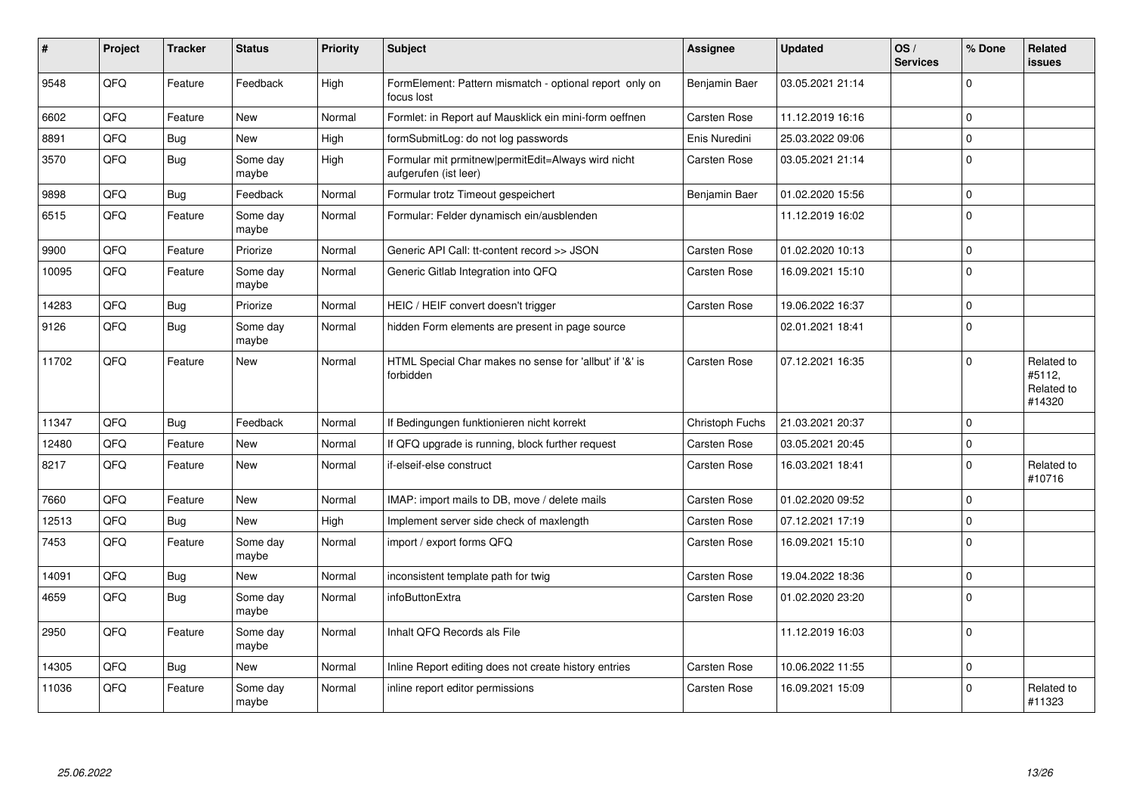| #     | <b>Project</b> | <b>Tracker</b> | <b>Status</b>     | <b>Priority</b> | <b>Subject</b>                                                              | <b>Assignee</b>     | <b>Updated</b>   | OS/<br><b>Services</b> | % Done       | Related<br>issues                            |
|-------|----------------|----------------|-------------------|-----------------|-----------------------------------------------------------------------------|---------------------|------------------|------------------------|--------------|----------------------------------------------|
| 9548  | QFQ            | Feature        | Feedback          | High            | FormElement: Pattern mismatch - optional report only on<br>focus lost       | Benjamin Baer       | 03.05.2021 21:14 |                        | $\Omega$     |                                              |
| 6602  | QFQ            | Feature        | <b>New</b>        | Normal          | Formlet: in Report auf Mausklick ein mini-form oeffnen                      | <b>Carsten Rose</b> | 11.12.2019 16:16 |                        | $\mathbf 0$  |                                              |
| 8891  | QFQ            | Bug            | New               | High            | formSubmitLog: do not log passwords                                         | Enis Nuredini       | 25.03.2022 09:06 |                        | $\mathbf 0$  |                                              |
| 3570  | QFQ            | Bug            | Some day<br>maybe | High            | Formular mit prmitnew permitEdit=Always wird nicht<br>aufgerufen (ist leer) | Carsten Rose        | 03.05.2021 21:14 |                        | $\mathbf 0$  |                                              |
| 9898  | QFQ            | <b>Bug</b>     | Feedback          | Normal          | Formular trotz Timeout gespeichert                                          | Benjamin Baer       | 01.02.2020 15:56 |                        | $\Omega$     |                                              |
| 6515  | QFQ            | Feature        | Some day<br>maybe | Normal          | Formular: Felder dynamisch ein/ausblenden                                   |                     | 11.12.2019 16:02 |                        | $\Omega$     |                                              |
| 9900  | QFQ            | Feature        | Priorize          | Normal          | Generic API Call: tt-content record >> JSON                                 | Carsten Rose        | 01.02.2020 10:13 |                        | $\mathbf 0$  |                                              |
| 10095 | QFQ            | Feature        | Some day<br>maybe | Normal          | Generic Gitlab Integration into QFQ                                         | <b>Carsten Rose</b> | 16.09.2021 15:10 |                        | $\Omega$     |                                              |
| 14283 | QFQ            | Bug            | Priorize          | Normal          | HEIC / HEIF convert doesn't trigger                                         | Carsten Rose        | 19.06.2022 16:37 |                        | $\mathbf{0}$ |                                              |
| 9126  | QFQ            | Bug            | Some dav<br>maybe | Normal          | hidden Form elements are present in page source                             |                     | 02.01.2021 18:41 |                        | $\mathbf 0$  |                                              |
| 11702 | QFQ            | Feature        | <b>New</b>        | Normal          | HTML Special Char makes no sense for 'allbut' if '&' is<br>forbidden        | <b>Carsten Rose</b> | 07.12.2021 16:35 |                        | $\Omega$     | Related to<br>#5112.<br>Related to<br>#14320 |
| 11347 | QFQ            | <b>Bug</b>     | Feedback          | Normal          | If Bedingungen funktionieren nicht korrekt                                  | Christoph Fuchs     | 21.03.2021 20:37 |                        | $\Omega$     |                                              |
| 12480 | QFQ            | Feature        | New               | Normal          | If QFQ upgrade is running, block further request                            | Carsten Rose        | 03.05.2021 20:45 |                        | $\mathbf{0}$ |                                              |
| 8217  | QFQ            | Feature        | New               | Normal          | if-elseif-else construct                                                    | <b>Carsten Rose</b> | 16.03.2021 18:41 |                        | $\Omega$     | Related to<br>#10716                         |
| 7660  | QFQ            | Feature        | <b>New</b>        | Normal          | IMAP: import mails to DB, move / delete mails                               | <b>Carsten Rose</b> | 01.02.2020 09:52 |                        | $\mathbf{0}$ |                                              |
| 12513 | QFQ            | <b>Bug</b>     | <b>New</b>        | High            | Implement server side check of maxlength                                    | <b>Carsten Rose</b> | 07.12.2021 17:19 |                        | $\Omega$     |                                              |
| 7453  | QFQ            | Feature        | Some day<br>maybe | Normal          | import / export forms QFQ                                                   | <b>Carsten Rose</b> | 16.09.2021 15:10 |                        | $\mathbf 0$  |                                              |
| 14091 | QFQ            | <b>Bug</b>     | <b>New</b>        | Normal          | inconsistent template path for twig                                         | <b>Carsten Rose</b> | 19.04.2022 18:36 |                        | $\mathbf{0}$ |                                              |
| 4659  | QFQ            | Bug            | Some day<br>maybe | Normal          | infoButtonExtra                                                             | Carsten Rose        | 01.02.2020 23:20 |                        | $\Omega$     |                                              |
| 2950  | QFQ            | Feature        | Some day<br>maybe | Normal          | Inhalt QFQ Records als File                                                 |                     | 11.12.2019 16:03 |                        | $\mathbf 0$  |                                              |
| 14305 | QFQ            | <b>Bug</b>     | <b>New</b>        | Normal          | Inline Report editing does not create history entries                       | <b>Carsten Rose</b> | 10.06.2022 11:55 |                        | $\mathbf 0$  |                                              |
| 11036 | QFQ            | Feature        | Some day<br>maybe | Normal          | inline report editor permissions                                            | Carsten Rose        | 16.09.2021 15:09 |                        | $\mathbf 0$  | Related to<br>#11323                         |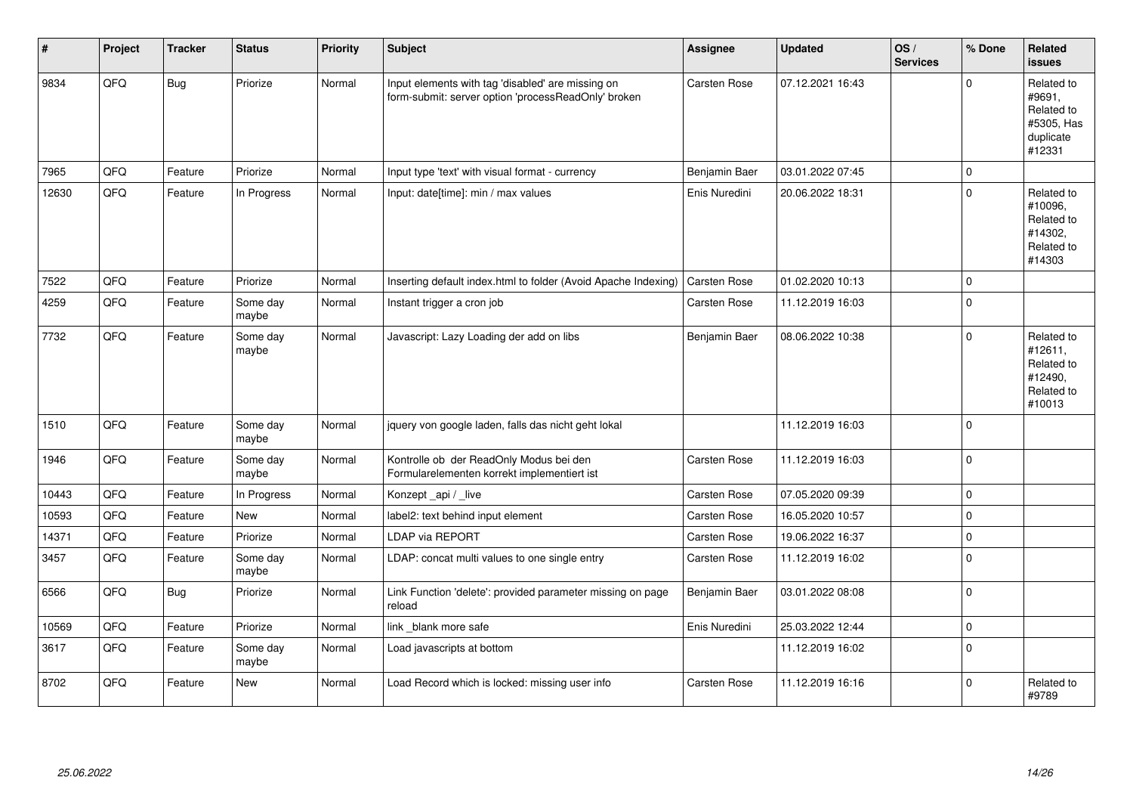| #     | Project | <b>Tracker</b> | <b>Status</b>     | <b>Priority</b> | <b>Subject</b>                                                                                           | <b>Assignee</b>     | <b>Updated</b>   | OS/<br><b>Services</b> | % Done      | Related<br><b>issues</b>                                                |
|-------|---------|----------------|-------------------|-----------------|----------------------------------------------------------------------------------------------------------|---------------------|------------------|------------------------|-------------|-------------------------------------------------------------------------|
| 9834  | QFQ     | <b>Bug</b>     | Priorize          | Normal          | Input elements with tag 'disabled' are missing on<br>form-submit: server option 'processReadOnly' broken | Carsten Rose        | 07.12.2021 16:43 |                        | $\Omega$    | Related to<br>#9691,<br>Related to<br>#5305, Has<br>duplicate<br>#12331 |
| 7965  | QFQ     | Feature        | Priorize          | Normal          | Input type 'text' with visual format - currency                                                          | Benjamin Baer       | 03.01.2022 07:45 |                        | $\Omega$    |                                                                         |
| 12630 | QFQ     | Feature        | In Progress       | Normal          | Input: date[time]: min / max values                                                                      | Enis Nuredini       | 20.06.2022 18:31 |                        | $\Omega$    | Related to<br>#10096,<br>Related to<br>#14302.<br>Related to<br>#14303  |
| 7522  | QFQ     | Feature        | Priorize          | Normal          | Inserting default index.html to folder (Avoid Apache Indexing)                                           | Carsten Rose        | 01.02.2020 10:13 |                        | $\Omega$    |                                                                         |
| 4259  | QFQ     | Feature        | Some day<br>maybe | Normal          | Instant trigger a cron job                                                                               | Carsten Rose        | 11.12.2019 16:03 |                        | $\Omega$    |                                                                         |
| 7732  | QFQ     | Feature        | Some day<br>maybe | Normal          | Javascript: Lazy Loading der add on libs                                                                 | Benjamin Baer       | 08.06.2022 10:38 |                        | $\Omega$    | Related to<br>#12611,<br>Related to<br>#12490,<br>Related to<br>#10013  |
| 1510  | QFQ     | Feature        | Some day<br>maybe | Normal          | jquery von google laden, falls das nicht geht lokal                                                      |                     | 11.12.2019 16:03 |                        | $\Omega$    |                                                                         |
| 1946  | QFQ     | Feature        | Some day<br>maybe | Normal          | Kontrolle ob der ReadOnly Modus bei den<br>Formularelementen korrekt implementiert ist                   | Carsten Rose        | 11.12.2019 16:03 |                        | $\Omega$    |                                                                         |
| 10443 | QFQ     | Feature        | In Progress       | Normal          | Konzept_api / live                                                                                       | <b>Carsten Rose</b> | 07.05.2020 09:39 |                        | $\Omega$    |                                                                         |
| 10593 | QFQ     | Feature        | <b>New</b>        | Normal          | label2: text behind input element                                                                        | Carsten Rose        | 16.05.2020 10:57 |                        | 0           |                                                                         |
| 14371 | QFQ     | Feature        | Priorize          | Normal          | <b>LDAP via REPORT</b>                                                                                   | Carsten Rose        | 19.06.2022 16:37 |                        | $\mathbf 0$ |                                                                         |
| 3457  | QFQ     | Feature        | Some day<br>maybe | Normal          | LDAP: concat multi values to one single entry                                                            | Carsten Rose        | 11.12.2019 16:02 |                        | $\Omega$    |                                                                         |
| 6566  | QFQ     | <b>Bug</b>     | Priorize          | Normal          | Link Function 'delete': provided parameter missing on page<br>reload                                     | Benjamin Baer       | 03.01.2022 08:08 |                        | $\mathbf 0$ |                                                                         |
| 10569 | QFQ     | Feature        | Priorize          | Normal          | link _blank more safe                                                                                    | Enis Nuredini       | 25.03.2022 12:44 |                        | $\mathbf 0$ |                                                                         |
| 3617  | QFQ     | Feature        | Some day<br>maybe | Normal          | Load javascripts at bottom                                                                               |                     | 11.12.2019 16:02 |                        | $\mathbf 0$ |                                                                         |
| 8702  | QFQ     | Feature        | <b>New</b>        | Normal          | Load Record which is locked: missing user info                                                           | <b>Carsten Rose</b> | 11.12.2019 16:16 |                        | $\mathbf 0$ | Related to<br>#9789                                                     |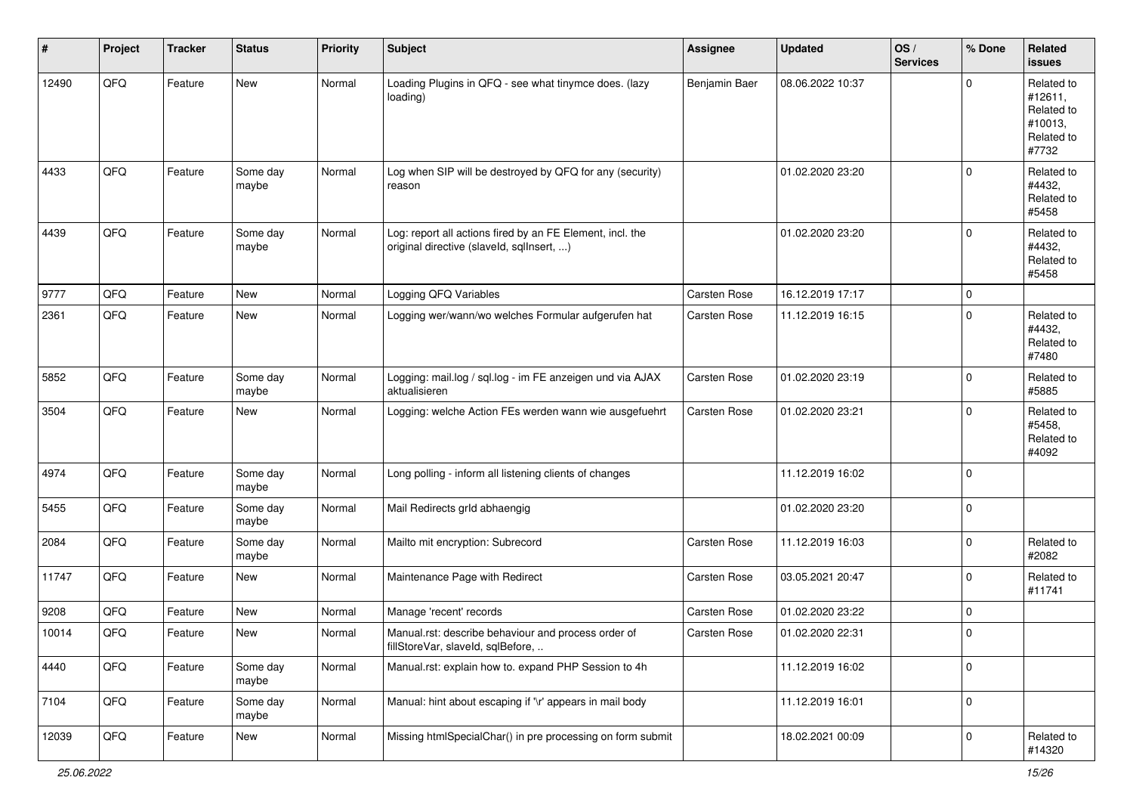| #     | Project | <b>Tracker</b> | <b>Status</b>     | <b>Priority</b> | <b>Subject</b>                                                                                         | Assignee      | <b>Updated</b>   | OS/<br><b>Services</b> | % Done      | Related<br>issues                                                     |
|-------|---------|----------------|-------------------|-----------------|--------------------------------------------------------------------------------------------------------|---------------|------------------|------------------------|-------------|-----------------------------------------------------------------------|
| 12490 | QFQ     | Feature        | New               | Normal          | Loading Plugins in QFQ - see what tinymce does. (lazy<br>loading)                                      | Benjamin Baer | 08.06.2022 10:37 |                        | $\mathbf 0$ | Related to<br>#12611,<br>Related to<br>#10013,<br>Related to<br>#7732 |
| 4433  | QFQ     | Feature        | Some day<br>maybe | Normal          | Log when SIP will be destroyed by QFQ for any (security)<br>reason                                     |               | 01.02.2020 23:20 |                        | $\mathbf 0$ | Related to<br>#4432,<br>Related to<br>#5458                           |
| 4439  | QFQ     | Feature        | Some day<br>maybe | Normal          | Log: report all actions fired by an FE Element, incl. the<br>original directive (slaveld, sqllnsert, ) |               | 01.02.2020 23:20 |                        | $\mathbf 0$ | Related to<br>#4432,<br>Related to<br>#5458                           |
| 9777  | QFQ     | Feature        | New               | Normal          | Logging QFQ Variables                                                                                  | Carsten Rose  | 16.12.2019 17:17 |                        | $\mathbf 0$ |                                                                       |
| 2361  | QFQ     | Feature        | New               | Normal          | Logging wer/wann/wo welches Formular aufgerufen hat                                                    | Carsten Rose  | 11.12.2019 16:15 |                        | $\mathbf 0$ | Related to<br>#4432,<br>Related to<br>#7480                           |
| 5852  | QFQ     | Feature        | Some day<br>maybe | Normal          | Logging: mail.log / sql.log - im FE anzeigen und via AJAX<br>aktualisieren                             | Carsten Rose  | 01.02.2020 23:19 |                        | $\mathbf 0$ | Related to<br>#5885                                                   |
| 3504  | QFQ     | Feature        | New               | Normal          | Logging: welche Action FEs werden wann wie ausgefuehrt                                                 | Carsten Rose  | 01.02.2020 23:21 |                        | $\mathbf 0$ | Related to<br>#5458,<br>Related to<br>#4092                           |
| 4974  | QFQ     | Feature        | Some day<br>maybe | Normal          | Long polling - inform all listening clients of changes                                                 |               | 11.12.2019 16:02 |                        | $\mathbf 0$ |                                                                       |
| 5455  | QFQ     | Feature        | Some day<br>maybe | Normal          | Mail Redirects grld abhaengig                                                                          |               | 01.02.2020 23:20 |                        | $\mathbf 0$ |                                                                       |
| 2084  | QFQ     | Feature        | Some day<br>maybe | Normal          | Mailto mit encryption: Subrecord                                                                       | Carsten Rose  | 11.12.2019 16:03 |                        | $\mathbf 0$ | Related to<br>#2082                                                   |
| 11747 | QFQ     | Feature        | New               | Normal          | Maintenance Page with Redirect                                                                         | Carsten Rose  | 03.05.2021 20:47 |                        | $\mathbf 0$ | Related to<br>#11741                                                  |
| 9208  | QFQ     | Feature        | New               | Normal          | Manage 'recent' records                                                                                | Carsten Rose  | 01.02.2020 23:22 |                        | $\mathbf 0$ |                                                                       |
| 10014 | QFQ     | Feature        | New               | Normal          | Manual.rst: describe behaviour and process order of<br>fillStoreVar, slaveId, sqlBefore,               | Carsten Rose  | 01.02.2020 22:31 |                        | $\mathbf 0$ |                                                                       |
| 4440  | QFQ     | Feature        | Some day<br>maybe | Normal          | Manual.rst: explain how to. expand PHP Session to 4h                                                   |               | 11.12.2019 16:02 |                        | $\mathbf 0$ |                                                                       |
| 7104  | QFQ     | Feature        | Some day<br>maybe | Normal          | Manual: hint about escaping if '\r' appears in mail body                                               |               | 11.12.2019 16:01 |                        | $\mathbf 0$ |                                                                       |
| 12039 | QFQ     | Feature        | New               | Normal          | Missing htmlSpecialChar() in pre processing on form submit                                             |               | 18.02.2021 00:09 |                        | $\mathbf 0$ | Related to<br>#14320                                                  |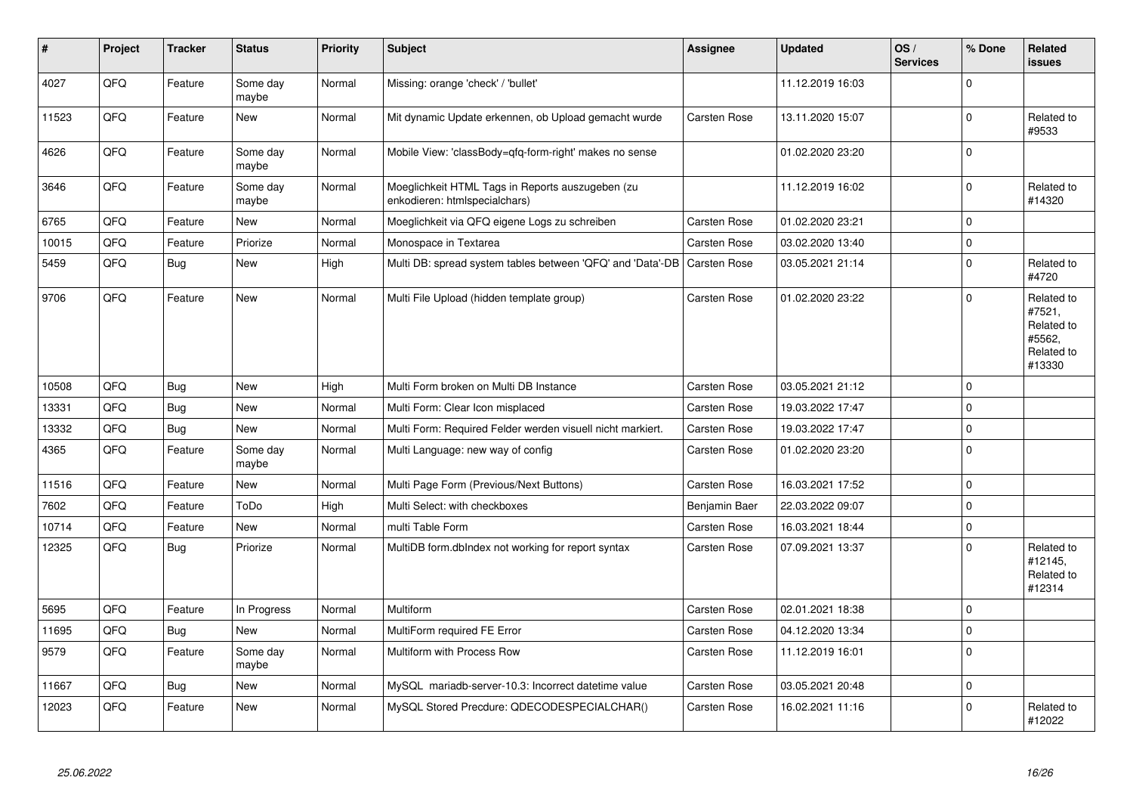| #     | Project | <b>Tracker</b> | <b>Status</b>     | <b>Priority</b> | <b>Subject</b>                                                                    | Assignee            | <b>Updated</b>   | OS/<br><b>Services</b> | % Done       | Related<br><b>issues</b>                                             |
|-------|---------|----------------|-------------------|-----------------|-----------------------------------------------------------------------------------|---------------------|------------------|------------------------|--------------|----------------------------------------------------------------------|
| 4027  | QFQ     | Feature        | Some day<br>maybe | Normal          | Missing: orange 'check' / 'bullet'                                                |                     | 11.12.2019 16:03 |                        | $\Omega$     |                                                                      |
| 11523 | QFQ     | Feature        | <b>New</b>        | Normal          | Mit dynamic Update erkennen, ob Upload gemacht wurde                              | Carsten Rose        | 13.11.2020 15:07 |                        | $\Omega$     | Related to<br>#9533                                                  |
| 4626  | QFQ     | Feature        | Some day<br>maybe | Normal          | Mobile View: 'classBody=qfq-form-right' makes no sense                            |                     | 01.02.2020 23:20 |                        | $\mathbf{0}$ |                                                                      |
| 3646  | QFQ     | Feature        | Some day<br>maybe | Normal          | Moeglichkeit HTML Tags in Reports auszugeben (zu<br>enkodieren: htmlspecialchars) |                     | 11.12.2019 16:02 |                        | $\Omega$     | Related to<br>#14320                                                 |
| 6765  | QFQ     | Feature        | New               | Normal          | Moeglichkeit via QFQ eigene Logs zu schreiben                                     | Carsten Rose        | 01.02.2020 23:21 |                        | $\Omega$     |                                                                      |
| 10015 | QFQ     | Feature        | Priorize          | Normal          | Monospace in Textarea                                                             | <b>Carsten Rose</b> | 03.02.2020 13:40 |                        | $\Omega$     |                                                                      |
| 5459  | QFQ     | Bug            | New               | High            | Multi DB: spread system tables between 'QFQ' and 'Data'-DB                        | <b>Carsten Rose</b> | 03.05.2021 21:14 |                        | $\mathbf 0$  | Related to<br>#4720                                                  |
| 9706  | QFQ     | Feature        | <b>New</b>        | Normal          | Multi File Upload (hidden template group)                                         | <b>Carsten Rose</b> | 01.02.2020 23:22 |                        | $\Omega$     | Related to<br>#7521,<br>Related to<br>#5562,<br>Related to<br>#13330 |
| 10508 | QFQ     | Bug            | <b>New</b>        | High            | Multi Form broken on Multi DB Instance                                            | Carsten Rose        | 03.05.2021 21:12 |                        | $\Omega$     |                                                                      |
| 13331 | QFQ     | Bug            | <b>New</b>        | Normal          | Multi Form: Clear Icon misplaced                                                  | <b>Carsten Rose</b> | 19.03.2022 17:47 |                        | 0            |                                                                      |
| 13332 | QFQ     | Bug            | New               | Normal          | Multi Form: Required Felder werden visuell nicht markiert.                        | Carsten Rose        | 19.03.2022 17:47 |                        | $\Omega$     |                                                                      |
| 4365  | QFQ     | Feature        | Some day<br>maybe | Normal          | Multi Language: new way of config                                                 | Carsten Rose        | 01.02.2020 23:20 |                        | $\Omega$     |                                                                      |
| 11516 | QFQ     | Feature        | New               | Normal          | Multi Page Form (Previous/Next Buttons)                                           | Carsten Rose        | 16.03.2021 17:52 |                        | $\Omega$     |                                                                      |
| 7602  | QFQ     | Feature        | ToDo              | High            | Multi Select: with checkboxes                                                     | Benjamin Baer       | 22.03.2022 09:07 |                        | $\Omega$     |                                                                      |
| 10714 | QFQ     | Feature        | New               | Normal          | multi Table Form                                                                  | <b>Carsten Rose</b> | 16.03.2021 18:44 |                        | $\Omega$     |                                                                      |
| 12325 | QFQ     | <b>Bug</b>     | Priorize          | Normal          | MultiDB form.dblndex not working for report syntax                                | Carsten Rose        | 07.09.2021 13:37 |                        | $\Omega$     | Related to<br>#12145,<br>Related to<br>#12314                        |
| 5695  | QFQ     | Feature        | In Progress       | Normal          | Multiform                                                                         | <b>Carsten Rose</b> | 02.01.2021 18:38 |                        | $\Omega$     |                                                                      |
| 11695 | QFQ     | <b>Bug</b>     | New               | Normal          | MultiForm required FE Error                                                       | Carsten Rose        | 04.12.2020 13:34 |                        | $\Omega$     |                                                                      |
| 9579  | QFQ     | Feature        | Some day<br>maybe | Normal          | Multiform with Process Row                                                        | Carsten Rose        | 11.12.2019 16:01 |                        | $\mathbf{0}$ |                                                                      |
| 11667 | QFQ     | Bug            | New               | Normal          | MySQL mariadb-server-10.3: Incorrect datetime value                               | Carsten Rose        | 03.05.2021 20:48 |                        | l 0          |                                                                      |
| 12023 | QFQ     | Feature        | New               | Normal          | MySQL Stored Precdure: QDECODESPECIALCHAR()                                       | Carsten Rose        | 16.02.2021 11:16 |                        | $\Omega$     | Related to<br>#12022                                                 |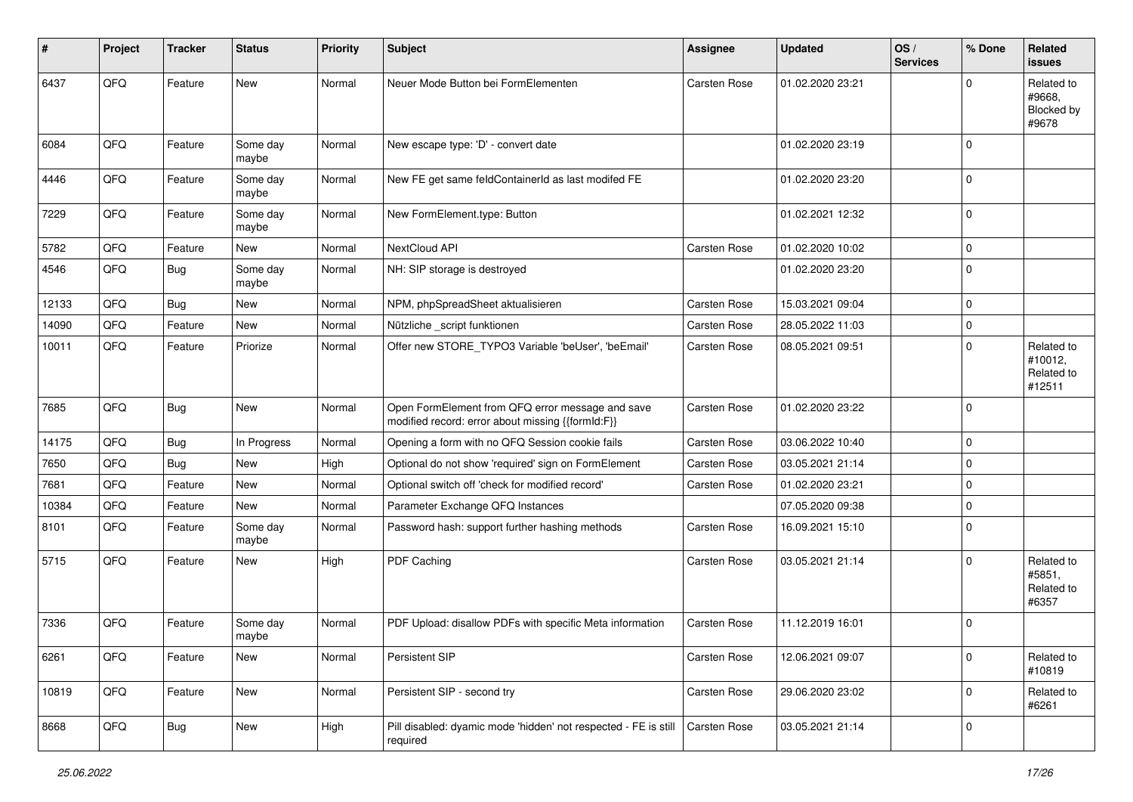| $\vert$ # | Project | <b>Tracker</b> | <b>Status</b>     | <b>Priority</b> | <b>Subject</b>                                                                                        | Assignee            | <b>Updated</b>   | OS/<br><b>Services</b> | % Done      | Related<br><b>issues</b>                      |
|-----------|---------|----------------|-------------------|-----------------|-------------------------------------------------------------------------------------------------------|---------------------|------------------|------------------------|-------------|-----------------------------------------------|
| 6437      | QFQ     | Feature        | New               | Normal          | Neuer Mode Button bei FormElementen                                                                   | Carsten Rose        | 01.02.2020 23:21 |                        | $\Omega$    | Related to<br>#9668,<br>Blocked by<br>#9678   |
| 6084      | QFQ     | Feature        | Some day<br>maybe | Normal          | New escape type: 'D' - convert date                                                                   |                     | 01.02.2020 23:19 |                        | $\Omega$    |                                               |
| 4446      | QFQ     | Feature        | Some day<br>maybe | Normal          | New FE get same feldContainerId as last modifed FE                                                    |                     | 01.02.2020 23:20 |                        | $\mathbf 0$ |                                               |
| 7229      | QFQ     | Feature        | Some day<br>maybe | Normal          | New FormElement.type: Button                                                                          |                     | 01.02.2021 12:32 |                        | $\mathbf 0$ |                                               |
| 5782      | QFQ     | Feature        | <b>New</b>        | Normal          | NextCloud API                                                                                         | Carsten Rose        | 01.02.2020 10:02 |                        | $\mathbf 0$ |                                               |
| 4546      | QFQ     | <b>Bug</b>     | Some day<br>maybe | Normal          | NH: SIP storage is destroyed                                                                          |                     | 01.02.2020 23:20 |                        | $\Omega$    |                                               |
| 12133     | QFQ     | <b>Bug</b>     | New               | Normal          | NPM, phpSpreadSheet aktualisieren                                                                     | Carsten Rose        | 15.03.2021 09:04 |                        | $\mathbf 0$ |                                               |
| 14090     | QFQ     | Feature        | <b>New</b>        | Normal          | Nützliche _script funktionen                                                                          | Carsten Rose        | 28.05.2022 11:03 |                        | $\mathbf 0$ |                                               |
| 10011     | QFQ     | Feature        | Priorize          | Normal          | Offer new STORE_TYPO3 Variable 'beUser', 'beEmail'                                                    | <b>Carsten Rose</b> | 08.05.2021 09:51 |                        | $\Omega$    | Related to<br>#10012,<br>Related to<br>#12511 |
| 7685      | QFQ     | <b>Bug</b>     | <b>New</b>        | Normal          | Open FormElement from QFQ error message and save<br>modified record: error about missing {{formId:F}} | Carsten Rose        | 01.02.2020 23:22 |                        | $\mathbf 0$ |                                               |
| 14175     | QFQ     | <b>Bug</b>     | In Progress       | Normal          | Opening a form with no QFQ Session cookie fails                                                       | Carsten Rose        | 03.06.2022 10:40 |                        | $\mathbf 0$ |                                               |
| 7650      | QFQ     | <b>Bug</b>     | New               | High            | Optional do not show 'required' sign on FormElement                                                   | Carsten Rose        | 03.05.2021 21:14 |                        | $\mathbf 0$ |                                               |
| 7681      | QFQ     | Feature        | New               | Normal          | Optional switch off 'check for modified record'                                                       | Carsten Rose        | 01.02.2020 23:21 |                        | $\mathbf 0$ |                                               |
| 10384     | QFQ     | Feature        | New               | Normal          | Parameter Exchange QFQ Instances                                                                      |                     | 07.05.2020 09:38 |                        | $\mathbf 0$ |                                               |
| 8101      | QFQ     | Feature        | Some day<br>maybe | Normal          | Password hash: support further hashing methods                                                        | Carsten Rose        | 16.09.2021 15:10 |                        | $\Omega$    |                                               |
| 5715      | QFQ     | Feature        | <b>New</b>        | High            | PDF Caching                                                                                           | Carsten Rose        | 03.05.2021 21:14 |                        | $\Omega$    | Related to<br>#5851,<br>Related to<br>#6357   |
| 7336      | QFQ     | Feature        | Some day<br>maybe | Normal          | PDF Upload: disallow PDFs with specific Meta information                                              | Carsten Rose        | 11.12.2019 16:01 |                        | $\mathbf 0$ |                                               |
| 6261      | QFQ     | Feature        | New               | Normal          | Persistent SIP                                                                                        | Carsten Rose        | 12.06.2021 09:07 |                        | $\mathbf 0$ | Related to<br>#10819                          |
| 10819     | QFQ     | Feature        | New               | Normal          | Persistent SIP - second try                                                                           | Carsten Rose        | 29.06.2020 23:02 |                        | $\mathbf 0$ | Related to<br>#6261                           |
| 8668      | QFQ     | <b>Bug</b>     | New               | High            | Pill disabled: dyamic mode 'hidden' not respected - FE is still<br>required                           | Carsten Rose        | 03.05.2021 21:14 |                        | $\mathbf 0$ |                                               |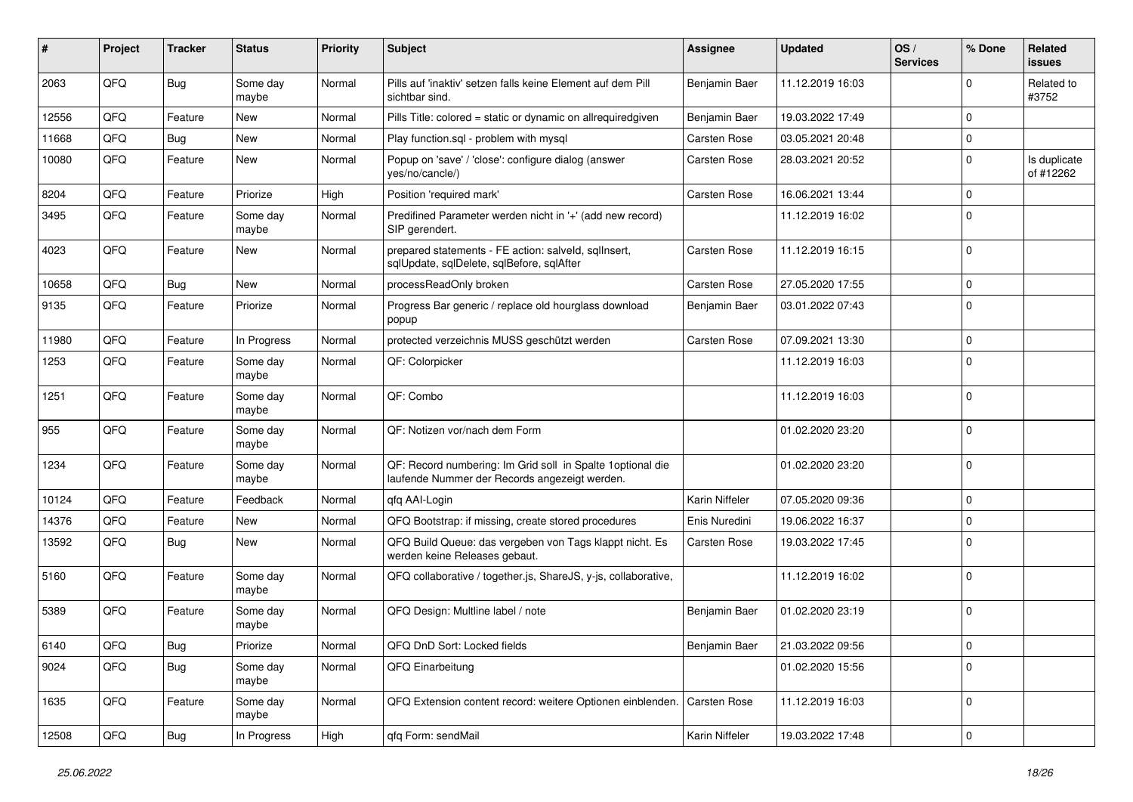| #     | Project | <b>Tracker</b> | <b>Status</b>     | <b>Priority</b> | <b>Subject</b>                                                                                               | <b>Assignee</b>     | <b>Updated</b>   | OS/<br><b>Services</b> | % Done              | Related<br>issues         |
|-------|---------|----------------|-------------------|-----------------|--------------------------------------------------------------------------------------------------------------|---------------------|------------------|------------------------|---------------------|---------------------------|
| 2063  | QFQ     | Bug            | Some day<br>maybe | Normal          | Pills auf 'inaktiv' setzen falls keine Element auf dem Pill<br>sichtbar sind.                                | Benjamin Baer       | 11.12.2019 16:03 |                        | $\Omega$            | Related to<br>#3752       |
| 12556 | QFQ     | Feature        | New               | Normal          | Pills Title: colored = static or dynamic on allrequiredgiven                                                 | Benjamin Baer       | 19.03.2022 17:49 |                        | $\mathbf 0$         |                           |
| 11668 | QFQ     | Bug            | <b>New</b>        | Normal          | Play function.sql - problem with mysql                                                                       | <b>Carsten Rose</b> | 03.05.2021 20:48 |                        | 0                   |                           |
| 10080 | QFQ     | Feature        | <b>New</b>        | Normal          | Popup on 'save' / 'close': configure dialog (answer<br>yes/no/cancle/)                                       | <b>Carsten Rose</b> | 28.03.2021 20:52 |                        | $\mathbf 0$         | Is duplicate<br>of #12262 |
| 8204  | QFQ     | Feature        | Priorize          | High            | Position 'required mark'                                                                                     | <b>Carsten Rose</b> | 16.06.2021 13:44 |                        | $\mathbf 0$         |                           |
| 3495  | QFQ     | Feature        | Some day<br>maybe | Normal          | Predifined Parameter werden nicht in '+' (add new record)<br>SIP gerendert.                                  |                     | 11.12.2019 16:02 |                        | $\Omega$            |                           |
| 4023  | QFQ     | Feature        | <b>New</b>        | Normal          | prepared statements - FE action: salveld, sqlInsert,<br>sqlUpdate, sqlDelete, sqlBefore, sqlAfter            | <b>Carsten Rose</b> | 11.12.2019 16:15 |                        | $\Omega$            |                           |
| 10658 | QFQ     | Bug            | New               | Normal          | processReadOnly broken                                                                                       | <b>Carsten Rose</b> | 27.05.2020 17:55 |                        | $\mathbf 0$         |                           |
| 9135  | QFQ     | Feature        | Priorize          | Normal          | Progress Bar generic / replace old hourglass download<br>popup                                               | Benjamin Baer       | 03.01.2022 07:43 |                        | $\Omega$            |                           |
| 11980 | QFQ     | Feature        | In Progress       | Normal          | protected verzeichnis MUSS geschützt werden                                                                  | <b>Carsten Rose</b> | 07.09.2021 13:30 |                        | $\mathbf 0$         |                           |
| 1253  | QFQ     | Feature        | Some day<br>maybe | Normal          | QF: Colorpicker                                                                                              |                     | 11.12.2019 16:03 |                        | $\mathbf 0$         |                           |
| 1251  | QFQ     | Feature        | Some day<br>maybe | Normal          | QF: Combo                                                                                                    |                     | 11.12.2019 16:03 |                        | $\mathbf{0}$        |                           |
| 955   | QFQ     | Feature        | Some day<br>maybe | Normal          | QF: Notizen vor/nach dem Form                                                                                |                     | 01.02.2020 23:20 |                        | $\mathbf 0$         |                           |
| 1234  | QFQ     | Feature        | Some day<br>maybe | Normal          | QF: Record numbering: Im Grid soll in Spalte 1 optional die<br>laufende Nummer der Records angezeigt werden. |                     | 01.02.2020 23:20 |                        | $\Omega$            |                           |
| 10124 | QFQ     | Feature        | Feedback          | Normal          | qfq AAI-Login                                                                                                | Karin Niffeler      | 07.05.2020 09:36 |                        | $\mathbf 0$         |                           |
| 14376 | QFQ     | Feature        | New               | Normal          | QFQ Bootstrap: if missing, create stored procedures                                                          | Enis Nuredini       | 19.06.2022 16:37 |                        | $\mathbf 0$         |                           |
| 13592 | QFQ     | Bug            | <b>New</b>        | Normal          | QFQ Build Queue: das vergeben von Tags klappt nicht. Es<br>werden keine Releases gebaut.                     | <b>Carsten Rose</b> | 19.03.2022 17:45 |                        | $\Omega$            |                           |
| 5160  | QFQ     | Feature        | Some day<br>maybe | Normal          | QFQ collaborative / together.js, ShareJS, y-js, collaborative,                                               |                     | 11.12.2019 16:02 |                        | $\mathbf 0$         |                           |
| 5389  | QFQ     | Feature        | Some day<br>maybe | Normal          | QFQ Design: Multline label / note                                                                            | Benjamin Baer       | 01.02.2020 23:19 |                        | $\Omega$            |                           |
| 6140  | QFQ     | <b>Bug</b>     | Priorize          | Normal          | QFQ DnD Sort: Locked fields                                                                                  | Benjamin Baer       | 21.03.2022 09:56 |                        | 0                   |                           |
| 9024  | QFQ     | Bug            | Some day<br>maybe | Normal          | QFQ Einarbeitung                                                                                             |                     | 01.02.2020 15:56 |                        | $\mathbf 0$         |                           |
| 1635  | QFQ     | Feature        | Some day<br>maybe | Normal          | QFQ Extension content record: weitere Optionen einblenden.                                                   | Carsten Rose        | 11.12.2019 16:03 |                        | $\mathbf 0$         |                           |
| 12508 | QFQ     | Bug            | In Progress       | High            | qfq Form: sendMail                                                                                           | Karin Niffeler      | 19.03.2022 17:48 |                        | $\mathsf{O}\xspace$ |                           |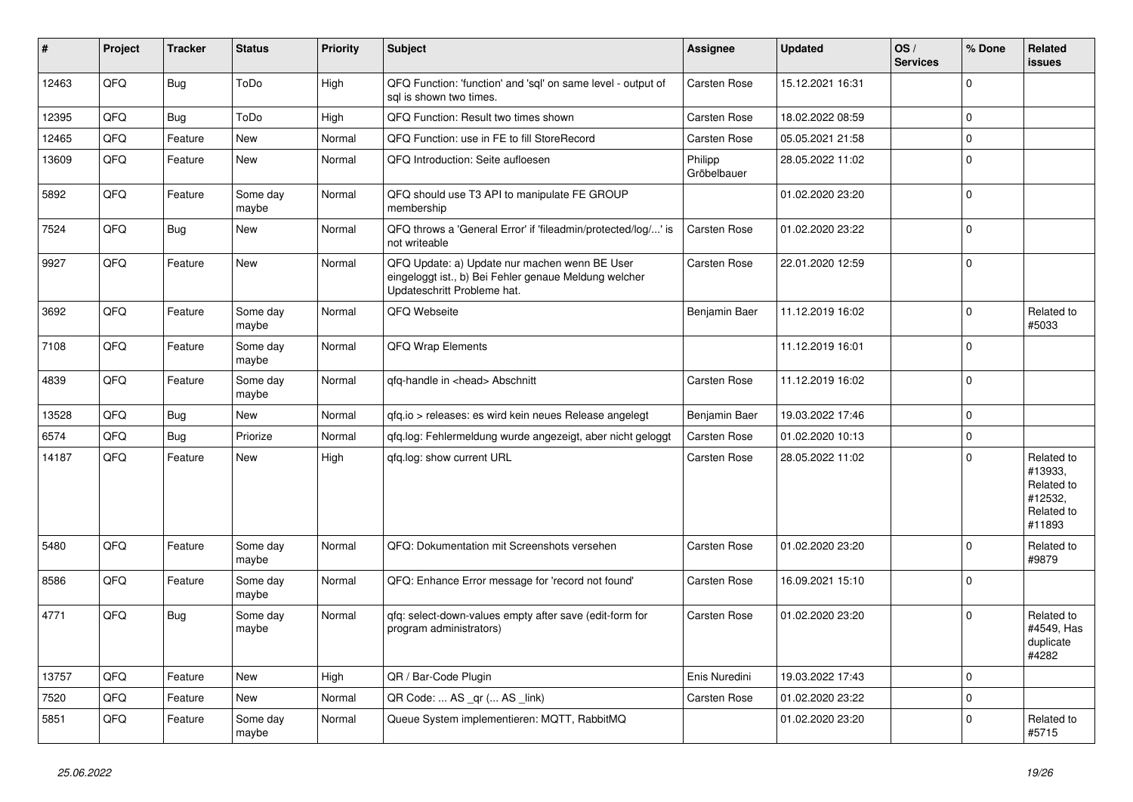| #     | Project | <b>Tracker</b> | <b>Status</b>     | <b>Priority</b> | <b>Subject</b>                                                                                                                        | <b>Assignee</b>        | <b>Updated</b>   | OS/<br><b>Services</b> | % Done       | Related<br>issues                                                      |
|-------|---------|----------------|-------------------|-----------------|---------------------------------------------------------------------------------------------------------------------------------------|------------------------|------------------|------------------------|--------------|------------------------------------------------------------------------|
| 12463 | QFQ     | Bug            | ToDo              | High            | QFQ Function: 'function' and 'sql' on same level - output of<br>sal is shown two times.                                               | <b>Carsten Rose</b>    | 15.12.2021 16:31 |                        | $\mathbf 0$  |                                                                        |
| 12395 | QFQ     | Bug            | ToDo              | High            | QFQ Function: Result two times shown                                                                                                  | <b>Carsten Rose</b>    | 18.02.2022 08:59 |                        | 0            |                                                                        |
| 12465 | QFQ     | Feature        | <b>New</b>        | Normal          | QFQ Function: use in FE to fill StoreRecord                                                                                           | <b>Carsten Rose</b>    | 05.05.2021 21:58 |                        | $\mathbf 0$  |                                                                        |
| 13609 | QFQ     | Feature        | New               | Normal          | QFQ Introduction: Seite aufloesen                                                                                                     | Philipp<br>Gröbelbauer | 28.05.2022 11:02 |                        | 0            |                                                                        |
| 5892  | QFQ     | Feature        | Some day<br>maybe | Normal          | QFQ should use T3 API to manipulate FE GROUP<br>membership                                                                            |                        | 01.02.2020 23:20 |                        | $\Omega$     |                                                                        |
| 7524  | QFQ     | Bug            | <b>New</b>        | Normal          | QFQ throws a 'General Error' if 'fileadmin/protected/log/' is<br>not writeable                                                        | <b>Carsten Rose</b>    | 01.02.2020 23:22 |                        | $\Omega$     |                                                                        |
| 9927  | QFQ     | Feature        | New               | Normal          | QFQ Update: a) Update nur machen wenn BE User<br>eingeloggt ist., b) Bei Fehler genaue Meldung welcher<br>Updateschritt Probleme hat. | <b>Carsten Rose</b>    | 22.01.2020 12:59 |                        | $\mathbf 0$  |                                                                        |
| 3692  | QFQ     | Feature        | Some day<br>maybe | Normal          | QFQ Webseite                                                                                                                          | Benjamin Baer          | 11.12.2019 16:02 |                        | $\Omega$     | Related to<br>#5033                                                    |
| 7108  | QFQ     | Feature        | Some day<br>maybe | Normal          | <b>QFQ Wrap Elements</b>                                                                                                              |                        | 11.12.2019 16:01 |                        | $\Omega$     |                                                                        |
| 4839  | QFQ     | Feature        | Some day<br>maybe | Normal          | qfq-handle in <head> Abschnitt</head>                                                                                                 | <b>Carsten Rose</b>    | 11.12.2019 16:02 |                        | $\Omega$     |                                                                        |
| 13528 | QFQ     | Bug            | <b>New</b>        | Normal          | qfq.io > releases: es wird kein neues Release angelegt                                                                                | Benjamin Baer          | 19.03.2022 17:46 |                        | $\mathbf 0$  |                                                                        |
| 6574  | QFQ     | Bug            | Priorize          | Normal          | qfq.log: Fehlermeldung wurde angezeigt, aber nicht geloggt                                                                            | Carsten Rose           | 01.02.2020 10:13 |                        | $\mathbf 0$  |                                                                        |
| 14187 | QFQ     | Feature        | <b>New</b>        | High            | qfq.log: show current URL                                                                                                             | Carsten Rose           | 28.05.2022 11:02 |                        | $\Omega$     | Related to<br>#13933,<br>Related to<br>#12532,<br>Related to<br>#11893 |
| 5480  | QFQ     | Feature        | Some day<br>maybe | Normal          | QFQ: Dokumentation mit Screenshots versehen                                                                                           | <b>Carsten Rose</b>    | 01.02.2020 23:20 |                        | $\Omega$     | Related to<br>#9879                                                    |
| 8586  | QFQ     | Feature        | Some day<br>maybe | Normal          | QFQ: Enhance Error message for 'record not found'                                                                                     | Carsten Rose           | 16.09.2021 15:10 |                        | $\mathbf{0}$ |                                                                        |
| 4771  | QFQ     | Bug            | Some day<br>maybe | Normal          | gfg: select-down-values empty after save (edit-form for<br>program administrators)                                                    | <b>Carsten Rose</b>    | 01.02.2020 23:20 |                        | $\Omega$     | Related to<br>#4549, Has<br>duplicate<br>#4282                         |
| 13757 | QFQ     | Feature        | <b>New</b>        | High            | QR / Bar-Code Plugin                                                                                                                  | Enis Nuredini          | 19.03.2022 17:43 |                        | $\mathbf 0$  |                                                                        |
| 7520  | QFQ     | Feature        | <b>New</b>        | Normal          | QR Code:  AS _qr ( AS _link)                                                                                                          | <b>Carsten Rose</b>    | 01.02.2020 23:22 |                        | $\mathbf 0$  |                                                                        |
| 5851  | QFQ     | Feature        | Some day<br>maybe | Normal          | Queue System implementieren: MQTT, RabbitMQ                                                                                           |                        | 01.02.2020 23:20 |                        | $\Omega$     | Related to<br>#5715                                                    |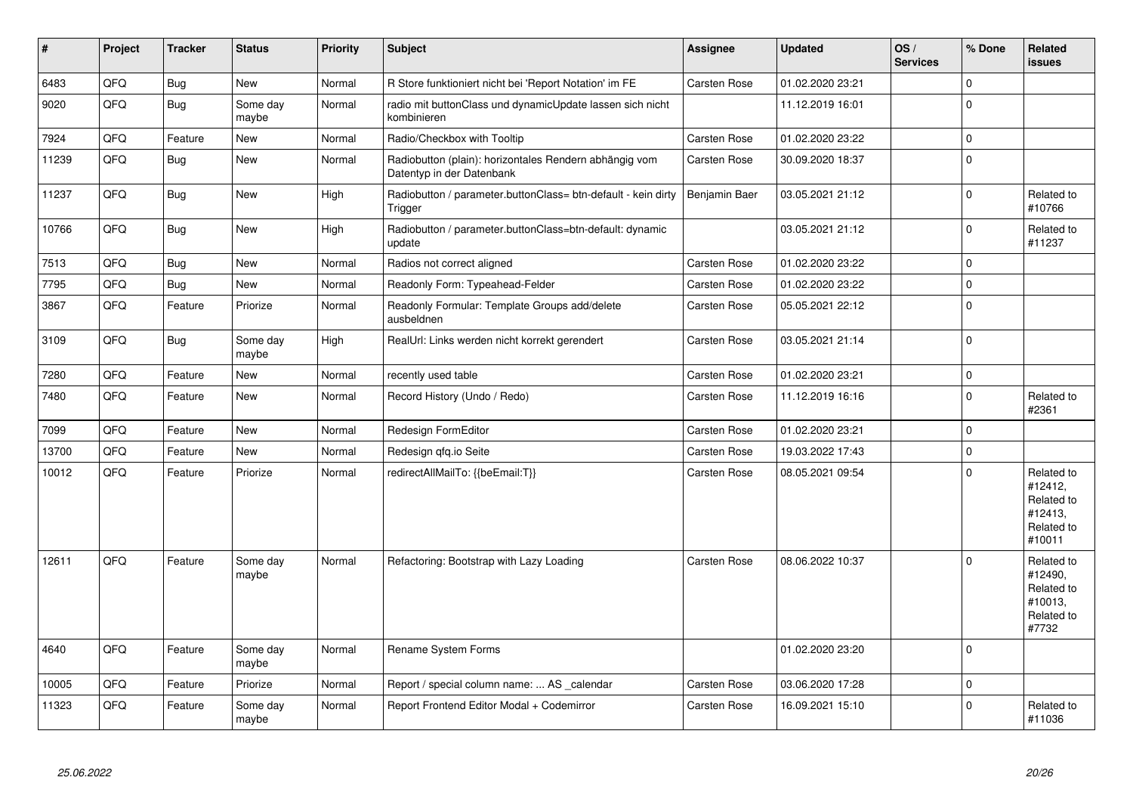| #     | <b>Project</b> | <b>Tracker</b> | <b>Status</b>     | <b>Priority</b> | <b>Subject</b>                                                                      | Assignee            | <b>Updated</b>   | OS/<br><b>Services</b> | % Done      | Related<br>issues                                                      |
|-------|----------------|----------------|-------------------|-----------------|-------------------------------------------------------------------------------------|---------------------|------------------|------------------------|-------------|------------------------------------------------------------------------|
| 6483  | QFQ            | Bug            | <b>New</b>        | Normal          | R Store funktioniert nicht bei 'Report Notation' im FE                              | <b>Carsten Rose</b> | 01.02.2020 23:21 |                        | $\Omega$    |                                                                        |
| 9020  | QFQ            | Bug            | Some day<br>maybe | Normal          | radio mit buttonClass und dynamicUpdate lassen sich nicht<br>kombinieren            |                     | 11.12.2019 16:01 |                        | $\Omega$    |                                                                        |
| 7924  | QFQ            | Feature        | <b>New</b>        | Normal          | Radio/Checkbox with Tooltip                                                         | Carsten Rose        | 01.02.2020 23:22 |                        | $\Omega$    |                                                                        |
| 11239 | QFQ            | Bug            | <b>New</b>        | Normal          | Radiobutton (plain): horizontales Rendern abhängig vom<br>Datentyp in der Datenbank | Carsten Rose        | 30.09.2020 18:37 |                        | $\Omega$    |                                                                        |
| 11237 | QFQ            | Bug            | <b>New</b>        | High            | Radiobutton / parameter.buttonClass= btn-default - kein dirty<br>Trigger            | Benjamin Baer       | 03.05.2021 21:12 |                        | $\Omega$    | Related to<br>#10766                                                   |
| 10766 | QFQ            | Bug            | New               | High            | Radiobutton / parameter.buttonClass=btn-default: dynamic<br>update                  |                     | 03.05.2021 21:12 |                        | $\mathbf 0$ | Related to<br>#11237                                                   |
| 7513  | QFQ            | Bug            | <b>New</b>        | Normal          | Radios not correct aligned                                                          | <b>Carsten Rose</b> | 01.02.2020 23:22 |                        | 0           |                                                                        |
| 7795  | QFQ            | Bug            | <b>New</b>        | Normal          | Readonly Form: Typeahead-Felder                                                     | Carsten Rose        | 01.02.2020 23:22 |                        | $\Omega$    |                                                                        |
| 3867  | QFQ            | Feature        | Priorize          | Normal          | Readonly Formular: Template Groups add/delete<br>ausbeldnen                         | <b>Carsten Rose</b> | 05.05.2021 22:12 |                        | $\Omega$    |                                                                        |
| 3109  | QFQ            | Bug            | Some day<br>maybe | High            | RealUrl: Links werden nicht korrekt gerendert                                       | Carsten Rose        | 03.05.2021 21:14 |                        | $\Omega$    |                                                                        |
| 7280  | QFQ            | Feature        | <b>New</b>        | Normal          | recently used table                                                                 | Carsten Rose        | 01.02.2020 23:21 |                        | 0           |                                                                        |
| 7480  | QFQ            | Feature        | <b>New</b>        | Normal          | Record History (Undo / Redo)                                                        | Carsten Rose        | 11.12.2019 16:16 |                        | $\Omega$    | Related to<br>#2361                                                    |
| 7099  | QFQ            | Feature        | <b>New</b>        | Normal          | Redesign FormEditor                                                                 | Carsten Rose        | 01.02.2020 23:21 |                        | $\Omega$    |                                                                        |
| 13700 | QFQ            | Feature        | <b>New</b>        | Normal          | Redesign qfq.io Seite                                                               | <b>Carsten Rose</b> | 19.03.2022 17:43 |                        | $\Omega$    |                                                                        |
| 10012 | QFQ            | Feature        | Priorize          | Normal          | redirectAllMailTo: {{beEmail:T}}                                                    | Carsten Rose        | 08.05.2021 09:54 |                        | $\Omega$    | Related to<br>#12412,<br>Related to<br>#12413.<br>Related to<br>#10011 |
| 12611 | QFQ            | Feature        | Some day<br>maybe | Normal          | Refactoring: Bootstrap with Lazy Loading                                            | <b>Carsten Rose</b> | 08.06.2022 10:37 |                        | $\Omega$    | Related to<br>#12490,<br>Related to<br>#10013,<br>Related to<br>#7732  |
| 4640  | QFQ            | Feature        | Some day<br>maybe | Normal          | Rename System Forms                                                                 |                     | 01.02.2020 23:20 |                        | $\Omega$    |                                                                        |
| 10005 | QFQ            | Feature        | Priorize          | Normal          | Report / special column name:  AS _calendar                                         | <b>Carsten Rose</b> | 03.06.2020 17:28 |                        | 0           |                                                                        |
| 11323 | QFQ            | Feature        | Some day<br>maybe | Normal          | Report Frontend Editor Modal + Codemirror                                           | Carsten Rose        | 16.09.2021 15:10 |                        | O           | Related to<br>#11036                                                   |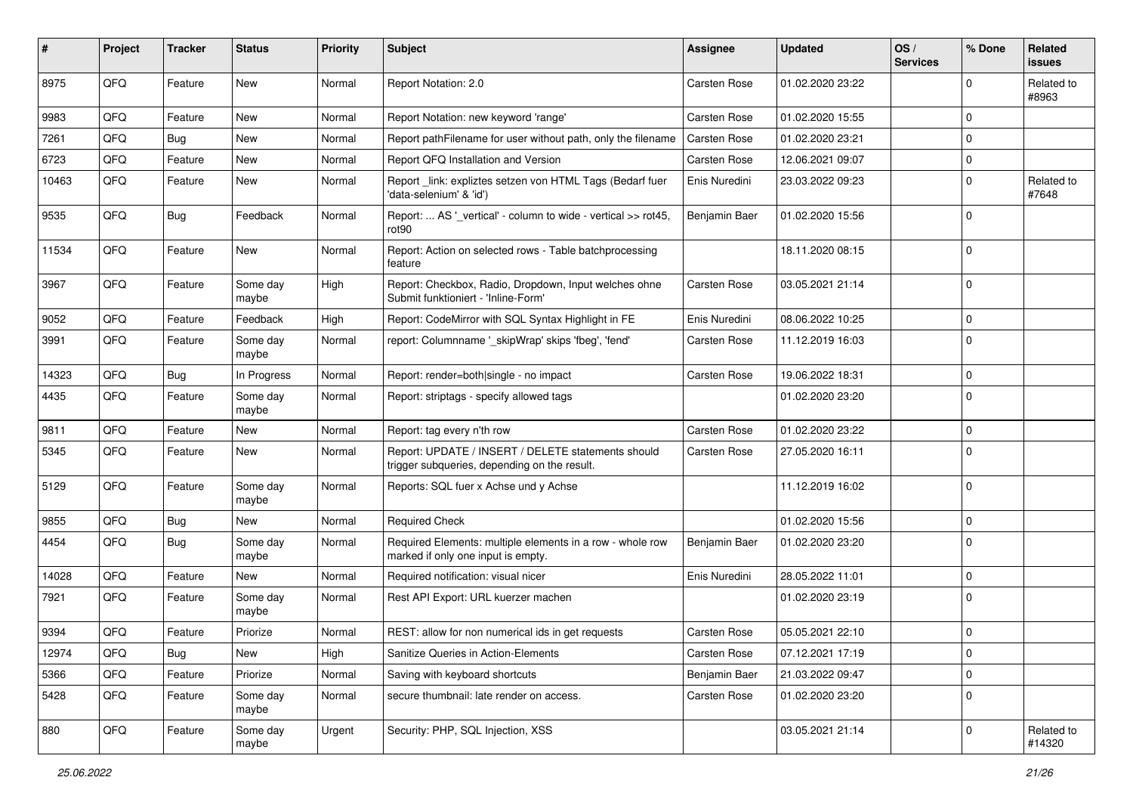| #     | <b>Project</b> | <b>Tracker</b> | <b>Status</b>     | <b>Priority</b> | <b>Subject</b>                                                                                     | <b>Assignee</b>     | <b>Updated</b>   | OS/<br><b>Services</b> | % Done       | Related<br>issues    |
|-------|----------------|----------------|-------------------|-----------------|----------------------------------------------------------------------------------------------------|---------------------|------------------|------------------------|--------------|----------------------|
| 8975  | QFQ            | Feature        | New               | Normal          | Report Notation: 2.0                                                                               | Carsten Rose        | 01.02.2020 23:22 |                        | $\Omega$     | Related to<br>#8963  |
| 9983  | QFQ            | Feature        | New               | Normal          | Report Notation: new keyword 'range'                                                               | Carsten Rose        | 01.02.2020 15:55 |                        | $\Omega$     |                      |
| 7261  | QFQ            | Bug            | New               | Normal          | Report pathFilename for user without path, only the filename                                       | Carsten Rose        | 01.02.2020 23:21 |                        | $\Omega$     |                      |
| 6723  | QFQ            | Feature        | New               | Normal          | Report QFQ Installation and Version                                                                | Carsten Rose        | 12.06.2021 09:07 |                        | $\mathbf 0$  |                      |
| 10463 | QFQ            | Feature        | New               | Normal          | Report _link: expliztes setzen von HTML Tags (Bedarf fuer<br>'data-selenium' & 'id')               | Enis Nuredini       | 23.03.2022 09:23 |                        | $\mathbf 0$  | Related to<br>#7648  |
| 9535  | QFQ            | Bug            | Feedback          | Normal          | Report:  AS '_vertical' - column to wide - vertical >> rot45,<br>rot90                             | Benjamin Baer       | 01.02.2020 15:56 |                        | $\Omega$     |                      |
| 11534 | QFQ            | Feature        | New               | Normal          | Report: Action on selected rows - Table batchprocessing<br>feature                                 |                     | 18.11.2020 08:15 |                        | $\mathbf 0$  |                      |
| 3967  | QFQ            | Feature        | Some day<br>maybe | High            | Report: Checkbox, Radio, Dropdown, Input welches ohne<br>Submit funktioniert - 'Inline-Form'       | Carsten Rose        | 03.05.2021 21:14 |                        | $\mathbf 0$  |                      |
| 9052  | QFQ            | Feature        | Feedback          | High            | Report: CodeMirror with SQL Syntax Highlight in FE                                                 | Enis Nuredini       | 08.06.2022 10:25 |                        | $\mathbf 0$  |                      |
| 3991  | QFQ            | Feature        | Some day<br>maybe | Normal          | report: Columnname '_skipWrap' skips 'fbeg', 'fend'                                                | Carsten Rose        | 11.12.2019 16:03 |                        | $\mathbf{0}$ |                      |
| 14323 | QFQ            | Bug            | In Progress       | Normal          | Report: render=both single - no impact                                                             | <b>Carsten Rose</b> | 19.06.2022 18:31 |                        | $\mathbf 0$  |                      |
| 4435  | QFQ            | Feature        | Some day<br>maybe | Normal          | Report: striptags - specify allowed tags                                                           |                     | 01.02.2020 23:20 |                        | $\mathbf 0$  |                      |
| 9811  | QFQ            | Feature        | New               | Normal          | Report: tag every n'th row                                                                         | Carsten Rose        | 01.02.2020 23:22 |                        | $\mathbf 0$  |                      |
| 5345  | QFQ            | Feature        | New               | Normal          | Report: UPDATE / INSERT / DELETE statements should<br>trigger subqueries, depending on the result. | Carsten Rose        | 27.05.2020 16:11 |                        | $\Omega$     |                      |
| 5129  | QFQ            | Feature        | Some day<br>maybe | Normal          | Reports: SQL fuer x Achse und y Achse                                                              |                     | 11.12.2019 16:02 |                        | $\mathbf{0}$ |                      |
| 9855  | QFQ            | Bug            | New               | Normal          | <b>Required Check</b>                                                                              |                     | 01.02.2020 15:56 |                        | $\mathbf 0$  |                      |
| 4454  | QFQ            | Bug            | Some day<br>maybe | Normal          | Required Elements: multiple elements in a row - whole row<br>marked if only one input is empty.    | Benjamin Baer       | 01.02.2020 23:20 |                        | $\Omega$     |                      |
| 14028 | QFQ            | Feature        | New               | Normal          | Required notification: visual nicer                                                                | Enis Nuredini       | 28.05.2022 11:01 |                        | $\mathbf 0$  |                      |
| 7921  | QFQ            | Feature        | Some day<br>maybe | Normal          | Rest API Export: URL kuerzer machen                                                                |                     | 01.02.2020 23:19 |                        | $\mathbf 0$  |                      |
| 9394  | QFQ            | Feature        | Priorize          | Normal          | REST: allow for non numerical ids in get requests                                                  | Carsten Rose        | 05.05.2021 22:10 |                        | $\mathbf 0$  |                      |
| 12974 | QFQ            | <b>Bug</b>     | New               | High            | Sanitize Queries in Action-Elements                                                                | Carsten Rose        | 07.12.2021 17:19 |                        | $\mathbf 0$  |                      |
| 5366  | QFQ            | Feature        | Priorize          | Normal          | Saving with keyboard shortcuts                                                                     | Benjamin Baer       | 21.03.2022 09:47 |                        | $\mathbf 0$  |                      |
| 5428  | QFQ            | Feature        | Some day<br>maybe | Normal          | secure thumbnail: late render on access.                                                           | Carsten Rose        | 01.02.2020 23:20 |                        | $\mathbf 0$  |                      |
| 880   | QFQ            | Feature        | Some day<br>maybe | Urgent          | Security: PHP, SQL Injection, XSS                                                                  |                     | 03.05.2021 21:14 |                        | 0            | Related to<br>#14320 |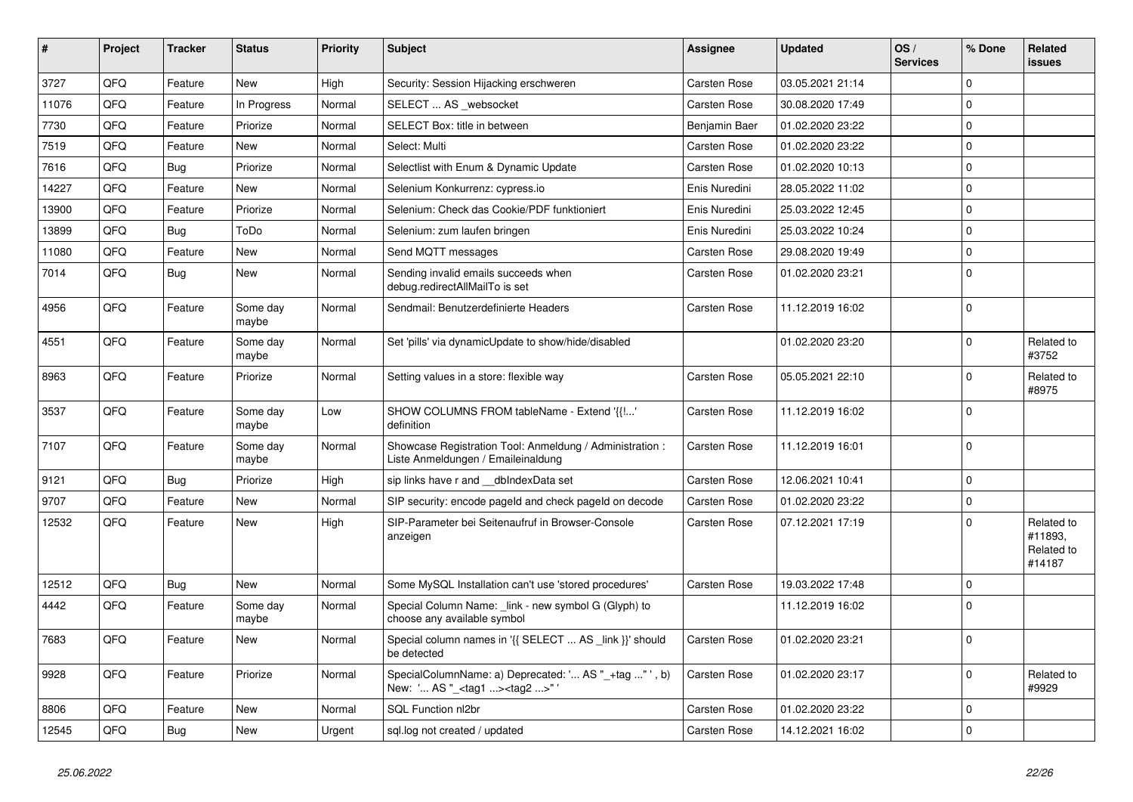| #     | Project | <b>Tracker</b> | <b>Status</b>     | Priority | <b>Subject</b>                                                                                      | <b>Assignee</b>     | <b>Updated</b>   | OS/<br><b>Services</b> | % Done      | Related<br>issues                             |
|-------|---------|----------------|-------------------|----------|-----------------------------------------------------------------------------------------------------|---------------------|------------------|------------------------|-------------|-----------------------------------------------|
| 3727  | QFQ     | Feature        | <b>New</b>        | High     | Security: Session Hijacking erschweren                                                              | Carsten Rose        | 03.05.2021 21:14 |                        | $\Omega$    |                                               |
| 11076 | QFQ     | Feature        | In Progress       | Normal   | SELECT  AS websocket                                                                                | Carsten Rose        | 30.08.2020 17:49 |                        | $\Omega$    |                                               |
| 7730  | QFQ     | Feature        | Priorize          | Normal   | SELECT Box: title in between                                                                        | Benjamin Baer       | 01.02.2020 23:22 |                        | $\Omega$    |                                               |
| 7519  | QFQ     | Feature        | New               | Normal   | Select: Multi                                                                                       | Carsten Rose        | 01.02.2020 23:22 |                        | $\Omega$    |                                               |
| 7616  | QFQ     | Bug            | Priorize          | Normal   | Selectlist with Enum & Dynamic Update                                                               | <b>Carsten Rose</b> | 01.02.2020 10:13 |                        | $\Omega$    |                                               |
| 14227 | QFQ     | Feature        | New               | Normal   | Selenium Konkurrenz: cypress.io                                                                     | Enis Nuredini       | 28.05.2022 11:02 |                        | $\Omega$    |                                               |
| 13900 | QFQ     | Feature        | Priorize          | Normal   | Selenium: Check das Cookie/PDF funktioniert                                                         | Enis Nuredini       | 25.03.2022 12:45 |                        | $\Omega$    |                                               |
| 13899 | QFQ     | <b>Bug</b>     | ToDo              | Normal   | Selenium: zum laufen bringen                                                                        | Enis Nuredini       | 25.03.2022 10:24 |                        | $\Omega$    |                                               |
| 11080 | QFQ     | Feature        | New               | Normal   | Send MQTT messages                                                                                  | <b>Carsten Rose</b> | 29.08.2020 19:49 |                        | $\Omega$    |                                               |
| 7014  | QFQ     | Bug            | New               | Normal   | Sending invalid emails succeeds when<br>debug.redirectAllMailTo is set                              | Carsten Rose        | 01.02.2020 23:21 |                        | $\Omega$    |                                               |
| 4956  | QFQ     | Feature        | Some day<br>maybe | Normal   | Sendmail: Benutzerdefinierte Headers                                                                | Carsten Rose        | 11.12.2019 16:02 |                        | $\Omega$    |                                               |
| 4551  | QFQ     | Feature        | Some day<br>maybe | Normal   | Set 'pills' via dynamicUpdate to show/hide/disabled                                                 |                     | 01.02.2020 23:20 |                        | $\Omega$    | Related to<br>#3752                           |
| 8963  | QFQ     | Feature        | Priorize          | Normal   | Setting values in a store: flexible way                                                             | Carsten Rose        | 05.05.2021 22:10 |                        | $\Omega$    | Related to<br>#8975                           |
| 3537  | QFQ     | Feature        | Some day<br>maybe | Low      | SHOW COLUMNS FROM tableName - Extend '{{!'<br>definition                                            | Carsten Rose        | 11.12.2019 16:02 |                        | $\Omega$    |                                               |
| 7107  | QFQ     | Feature        | Some day<br>maybe | Normal   | Showcase Registration Tool: Anmeldung / Administration :<br>Liste Anmeldungen / Emaileinaldung      | Carsten Rose        | 11.12.2019 16:01 |                        | $\mathbf 0$ |                                               |
| 9121  | QFQ     | <b>Bug</b>     | Priorize          | High     | sip links have r and dbIndexData set                                                                | Carsten Rose        | 12.06.2021 10:41 |                        | $\Omega$    |                                               |
| 9707  | QFQ     | Feature        | New               | Normal   | SIP security: encode pageld and check pageld on decode                                              | <b>Carsten Rose</b> | 01.02.2020 23:22 |                        | $\Omega$    |                                               |
| 12532 | QFQ     | Feature        | New               | High     | SIP-Parameter bei Seitenaufruf in Browser-Console<br>anzeigen                                       | Carsten Rose        | 07.12.2021 17:19 |                        | $\Omega$    | Related to<br>#11893,<br>Related to<br>#14187 |
| 12512 | QFQ     | Bug            | <b>New</b>        | Normal   | Some MySQL Installation can't use 'stored procedures'                                               | Carsten Rose        | 19.03.2022 17:48 |                        | $\mathbf 0$ |                                               |
| 4442  | QFQ     | Feature        | Some day<br>maybe | Normal   | Special Column Name: link - new symbol G (Glyph) to<br>choose any available symbol                  |                     | 11.12.2019 16:02 |                        | $\Omega$    |                                               |
| 7683  | QFQ     | Feature        | New               | Normal   | Special column names in '{{ SELECT  AS link }}' should<br>be detected                               | Carsten Rose        | 01.02.2020 23:21 |                        | $\Omega$    |                                               |
| 9928  | QFQ     | Feature        | Priorize          | Normal   | SpecialColumnName: a) Deprecated: ' AS "_+tag " ', b)<br>New: ' AS "_ <tag1><tag2>" '</tag2></tag1> | <b>Carsten Rose</b> | 01.02.2020 23:17 |                        | $\Omega$    | Related to<br>#9929                           |
| 8806  | QFQ     | Feature        | <b>New</b>        | Normal   | <b>SQL Function nl2br</b>                                                                           | Carsten Rose        | 01.02.2020 23:22 |                        | $\Omega$    |                                               |
| 12545 | QFQ     | Bug            | New               | Urgent   | sql.log not created / updated                                                                       | Carsten Rose        | 14.12.2021 16:02 |                        | $\Omega$    |                                               |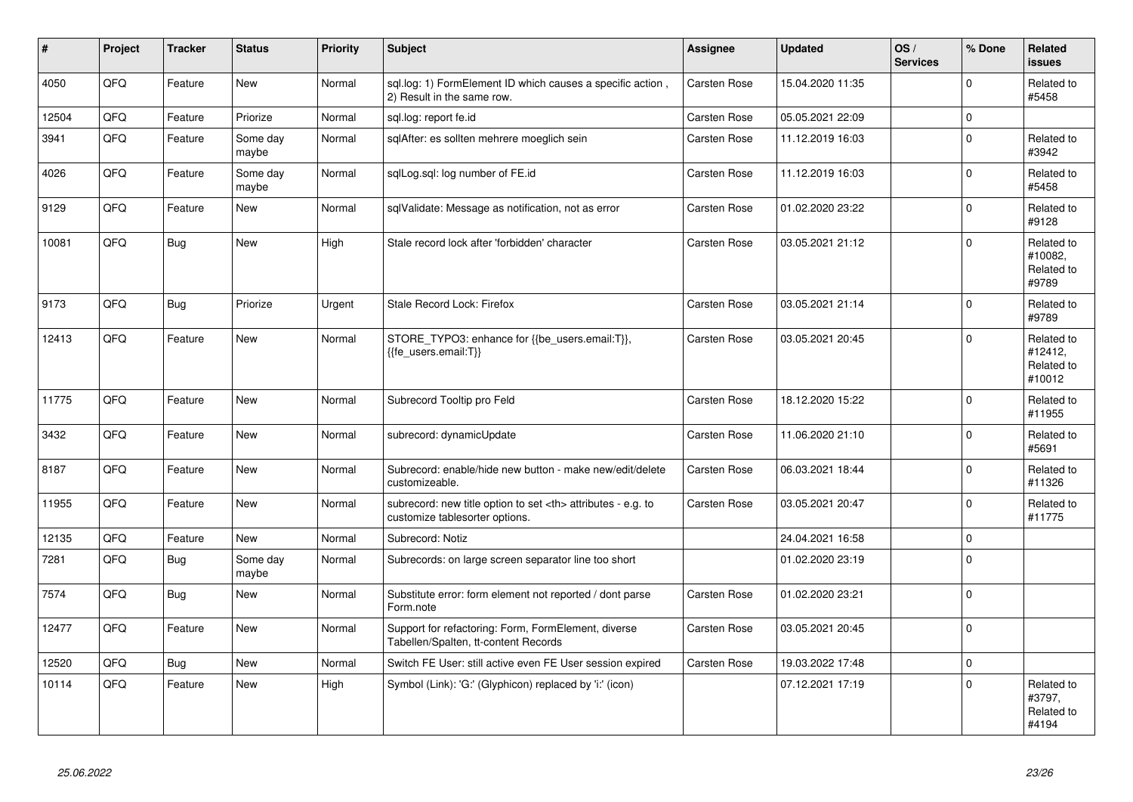| $\vert$ # | Project    | <b>Tracker</b> | <b>Status</b>     | <b>Priority</b> | <b>Subject</b>                                                                                       | Assignee                                               | <b>Updated</b>   | OS/<br><b>Services</b> | % Done              | Related<br><b>issues</b>                      |                      |
|-----------|------------|----------------|-------------------|-----------------|------------------------------------------------------------------------------------------------------|--------------------------------------------------------|------------------|------------------------|---------------------|-----------------------------------------------|----------------------|
| 4050      | QFQ        | Feature        | <b>New</b>        | Normal          | sql.log: 1) FormElement ID which causes a specific action,<br>2) Result in the same row.             | Carsten Rose                                           | 15.04.2020 11:35 |                        | $\Omega$            | Related to<br>#5458                           |                      |
| 12504     | QFQ        | Feature        | Priorize          | Normal          | sgl.log: report fe.id                                                                                | Carsten Rose                                           | 05.05.2021 22:09 |                        | $\mathbf{0}$        |                                               |                      |
| 3941      | QFQ        | Feature        | Some day<br>maybe | Normal          | sqlAfter: es sollten mehrere moeglich sein                                                           | Carsten Rose                                           | 11.12.2019 16:03 |                        | $\mathbf 0$         | Related to<br>#3942                           |                      |
| 4026      | QFQ        | Feature        | Some day<br>maybe | Normal          | sqlLog.sql: log number of FE.id                                                                      | Carsten Rose                                           | 11.12.2019 16:03 |                        | $\mathbf 0$         | Related to<br>#5458                           |                      |
| 9129      | QFQ        | Feature        | <b>New</b>        | Normal          | sglValidate: Message as notification, not as error                                                   | Carsten Rose                                           | 01.02.2020 23:22 |                        | $\mathbf 0$         | Related to<br>#9128                           |                      |
| 10081     | QFQ        | <b>Bug</b>     | New               | High            | Stale record lock after 'forbidden' character                                                        | Carsten Rose                                           | 03.05.2021 21:12 |                        | $\Omega$            | Related to<br>#10082,<br>Related to<br>#9789  |                      |
| 9173      | QFQ        | Bug            | Priorize          | Urgent          | Stale Record Lock: Firefox                                                                           | Carsten Rose                                           | 03.05.2021 21:14 |                        | $\mathbf{0}$        | Related to<br>#9789                           |                      |
| 12413     | QFQ        | Feature        | New               | Normal          | STORE TYPO3: enhance for {{be users.email:T}},<br>{{fe users.email:T}}                               | Carsten Rose                                           | 03.05.2021 20:45 |                        | $\mathbf 0$         | Related to<br>#12412,<br>Related to<br>#10012 |                      |
| 11775     | QFQ        | Feature        | <b>New</b>        | Normal          | Subrecord Tooltip pro Feld                                                                           | Carsten Rose                                           | 18.12.2020 15:22 |                        | $\mathbf 0$         | Related to<br>#11955                          |                      |
| 3432      | <b>OFO</b> | Feature        | New               | Normal          | subrecord: dynamicUpdate                                                                             | Carsten Rose                                           | 11.06.2020 21:10 |                        | $\Omega$            | Related to<br>#5691                           |                      |
| 8187      | QFQ        | Feature        | New               | Normal          | Subrecord: enable/hide new button - make new/edit/delete<br>customizeable.                           | Carsten Rose                                           | 06.03.2021 18:44 |                        | $\mathbf 0$         | Related to<br>#11326                          |                      |
| 11955     | QFQ        | Feature        | New               | Normal          | subrecord: new title option to set <th> attributes - e.g. to<br/>customize tablesorter options.</th> | attributes - e.g. to<br>customize tablesorter options. | Carsten Rose     | 03.05.2021 20:47       |                     | $\mathbf 0$                                   | Related to<br>#11775 |
| 12135     | QFQ        | Feature        | New               | Normal          | Subrecord: Notiz                                                                                     |                                                        | 24.04.2021 16:58 |                        | $\mathsf 0$         |                                               |                      |
| 7281      | QFQ        | <b>Bug</b>     | Some day<br>maybe | Normal          | Subrecords: on large screen separator line too short                                                 |                                                        | 01.02.2020 23:19 |                        | $\mathsf{O}\xspace$ |                                               |                      |
| 7574      | QFQ        | Bug            | New               | Normal          | Substitute error: form element not reported / dont parse<br>Form.note                                | Carsten Rose                                           | 01.02.2020 23:21 |                        | $\mathsf{O}\xspace$ |                                               |                      |
| 12477     | QFQ        | Feature        | <b>New</b>        | Normal          | Support for refactoring: Form, FormElement, diverse<br>Tabellen/Spalten, tt-content Records          | Carsten Rose                                           | 03.05.2021 20:45 |                        | $\mathsf 0$         |                                               |                      |
| 12520     | QFQ        | <b>Bug</b>     | <b>New</b>        | Normal          | Switch FE User: still active even FE User session expired                                            | Carsten Rose                                           | 19.03.2022 17:48 |                        | $\mathbf 0$         |                                               |                      |
| 10114     | QFQ        | Feature        | <b>New</b>        | High            | Symbol (Link): 'G:' (Glyphicon) replaced by 'i:' (icon)                                              |                                                        | 07.12.2021 17:19 |                        | $\mathbf 0$         | Related to<br>#3797,<br>Related to<br>#4194   |                      |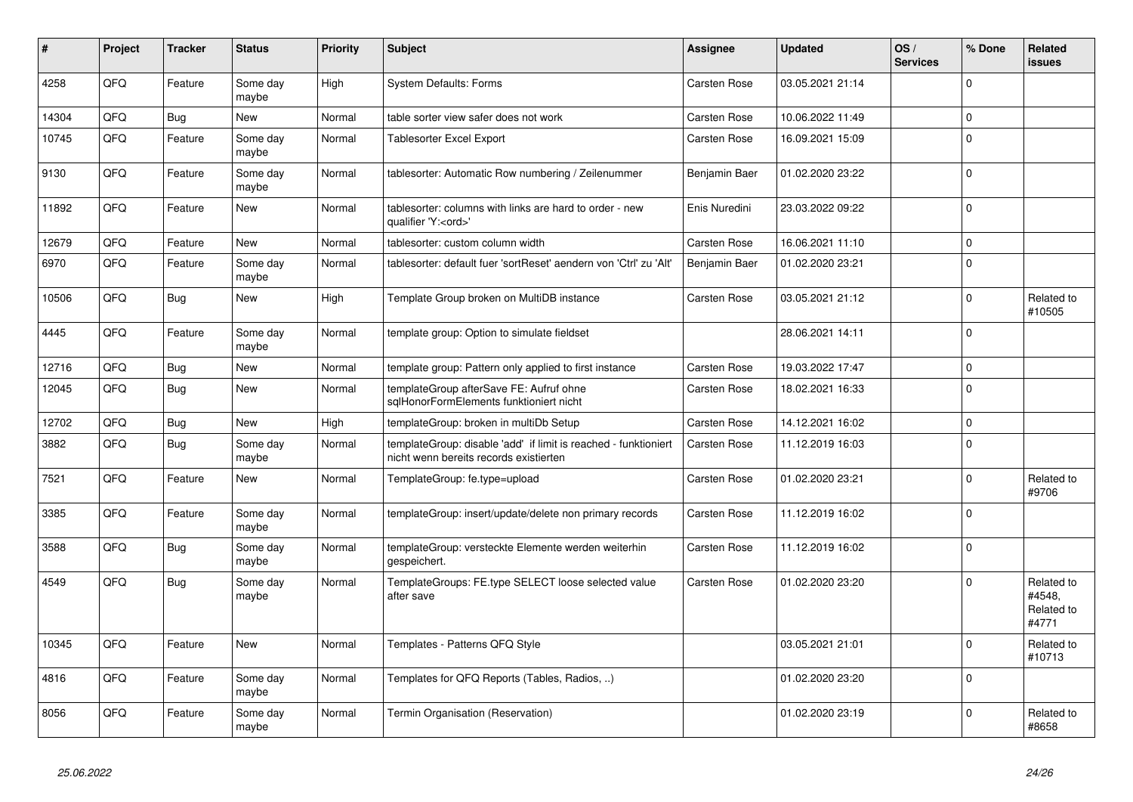| #     | Project    | <b>Tracker</b> | <b>Status</b>     | <b>Priority</b> | <b>Subject</b>                                                                                            | Assignee            | <b>Updated</b>   | OS/<br><b>Services</b> | % Done      | Related<br><b>issues</b>                    |
|-------|------------|----------------|-------------------|-----------------|-----------------------------------------------------------------------------------------------------------|---------------------|------------------|------------------------|-------------|---------------------------------------------|
| 4258  | QFQ        | Feature        | Some day<br>maybe | High            | <b>System Defaults: Forms</b>                                                                             | <b>Carsten Rose</b> | 03.05.2021 21:14 |                        | $\Omega$    |                                             |
| 14304 | QFQ        | Bug            | New               | Normal          | table sorter view safer does not work                                                                     | <b>Carsten Rose</b> | 10.06.2022 11:49 |                        | $\Omega$    |                                             |
| 10745 | QFQ        | Feature        | Some day<br>maybe | Normal          | <b>Tablesorter Excel Export</b>                                                                           | <b>Carsten Rose</b> | 16.09.2021 15:09 |                        | $\Omega$    |                                             |
| 9130  | QFQ        | Feature        | Some day<br>maybe | Normal          | tablesorter: Automatic Row numbering / Zeilenummer                                                        | Benjamin Baer       | 01.02.2020 23:22 |                        | $\Omega$    |                                             |
| 11892 | QFQ        | Feature        | <b>New</b>        | Normal          | tablesorter: columns with links are hard to order - new<br>qualifier 'Y: <ord>'</ord>                     | Enis Nuredini       | 23.03.2022 09:22 |                        | $\Omega$    |                                             |
| 12679 | QFQ        | Feature        | <b>New</b>        | Normal          | tablesorter: custom column width                                                                          | Carsten Rose        | 16.06.2021 11:10 |                        | $\Omega$    |                                             |
| 6970  | QFQ        | Feature        | Some day<br>maybe | Normal          | tablesorter: default fuer 'sortReset' aendern von 'Ctrl' zu 'Alt'                                         | Benjamin Baer       | 01.02.2020 23:21 |                        | $\Omega$    |                                             |
| 10506 | QFQ        | Bug            | <b>New</b>        | High            | Template Group broken on MultiDB instance                                                                 | <b>Carsten Rose</b> | 03.05.2021 21:12 |                        | $\Omega$    | Related to<br>#10505                        |
| 4445  | <b>OFO</b> | Feature        | Some day<br>maybe | Normal          | template group: Option to simulate fieldset                                                               |                     | 28.06.2021 14:11 |                        | $\Omega$    |                                             |
| 12716 | QFQ        | Bug            | <b>New</b>        | Normal          | template group: Pattern only applied to first instance                                                    | <b>Carsten Rose</b> | 19.03.2022 17:47 |                        | $\mathbf 0$ |                                             |
| 12045 | QFQ        | Bug            | <b>New</b>        | Normal          | templateGroup afterSave FE: Aufruf ohne<br>sglHonorFormElements funktioniert nicht                        | Carsten Rose        | 18.02.2021 16:33 |                        | $\Omega$    |                                             |
| 12702 | QFQ        | Bug            | New               | High            | templateGroup: broken in multiDb Setup                                                                    | Carsten Rose        | 14.12.2021 16:02 |                        | $\mathbf 0$ |                                             |
| 3882  | QFQ        | Bug            | Some day<br>maybe | Normal          | templateGroup: disable 'add' if limit is reached - funktioniert<br>nicht wenn bereits records existierten | <b>Carsten Rose</b> | 11.12.2019 16:03 |                        | $\mathbf 0$ |                                             |
| 7521  | QFQ        | Feature        | New               | Normal          | TemplateGroup: fe.type=upload                                                                             | <b>Carsten Rose</b> | 01.02.2020 23:21 |                        | $\Omega$    | Related to<br>#9706                         |
| 3385  | QFQ        | Feature        | Some day<br>maybe | Normal          | templateGroup: insert/update/delete non primary records                                                   | Carsten Rose        | 11.12.2019 16:02 |                        | $\Omega$    |                                             |
| 3588  | QFQ        | Bug            | Some day<br>maybe | Normal          | templateGroup: versteckte Elemente werden weiterhin<br>gespeichert.                                       | Carsten Rose        | 11.12.2019 16:02 |                        | $\Omega$    |                                             |
| 4549  | QFQ        | Bug            | Some day<br>maybe | Normal          | TemplateGroups: FE.type SELECT loose selected value<br>after save                                         | <b>Carsten Rose</b> | 01.02.2020 23:20 |                        | $\Omega$    | Related to<br>#4548,<br>Related to<br>#4771 |
| 10345 | QFQ        | Feature        | <b>New</b>        | Normal          | Templates - Patterns QFQ Style                                                                            |                     | 03.05.2021 21:01 |                        | $\Omega$    | Related to<br>#10713                        |
| 4816  | QFQ        | Feature        | Some day<br>maybe | Normal          | Templates for QFQ Reports (Tables, Radios, )                                                              |                     | 01.02.2020 23:20 |                        | $\Omega$    |                                             |
| 8056  | QFQ        | Feature        | Some day<br>maybe | Normal          | Termin Organisation (Reservation)                                                                         |                     | 01.02.2020 23:19 |                        | $\Omega$    | Related to<br>#8658                         |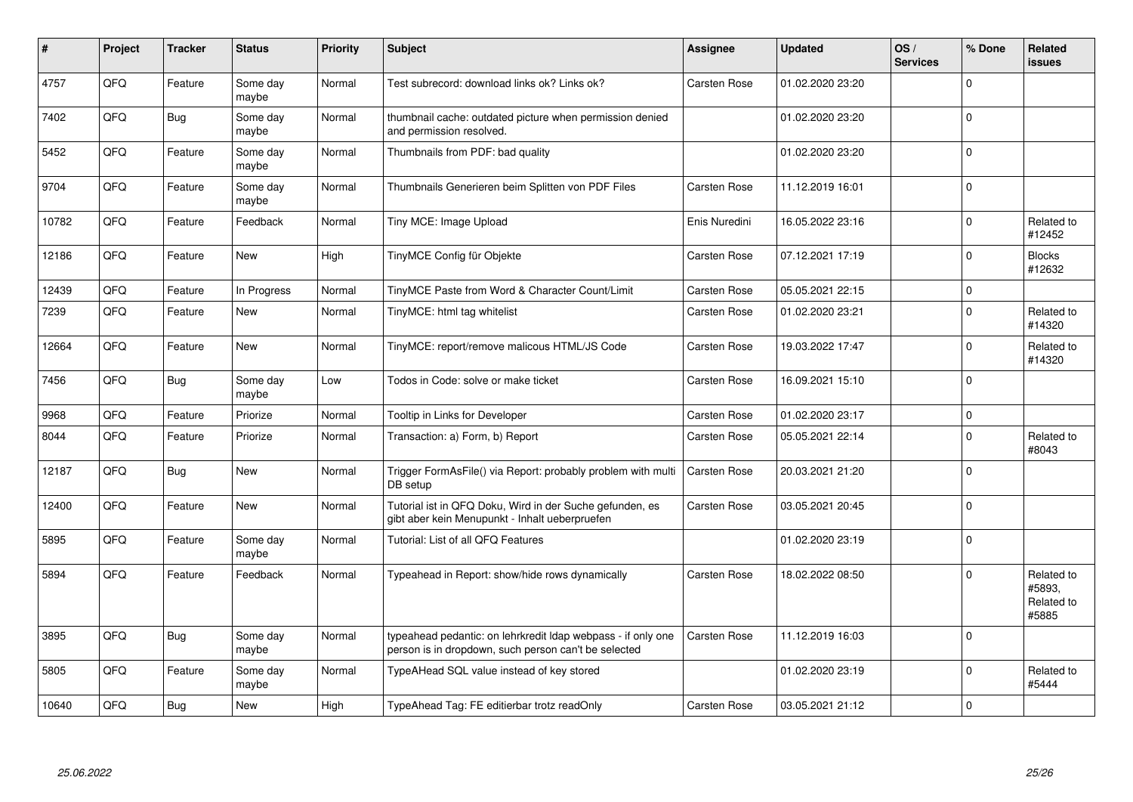| $\#$  | Project | <b>Tracker</b> | <b>Status</b>     | Priority | <b>Subject</b>                                                                                                       | Assignee            | <b>Updated</b>   | OS/<br><b>Services</b> | % Done      | Related<br><b>issues</b>                    |
|-------|---------|----------------|-------------------|----------|----------------------------------------------------------------------------------------------------------------------|---------------------|------------------|------------------------|-------------|---------------------------------------------|
| 4757  | QFQ     | Feature        | Some day<br>maybe | Normal   | Test subrecord: download links ok? Links ok?                                                                         | Carsten Rose        | 01.02.2020 23:20 |                        | $\Omega$    |                                             |
| 7402  | QFQ     | Bug            | Some day<br>maybe | Normal   | thumbnail cache: outdated picture when permission denied<br>and permission resolved.                                 |                     | 01.02.2020 23:20 |                        | $\Omega$    |                                             |
| 5452  | QFQ     | Feature        | Some day<br>maybe | Normal   | Thumbnails from PDF: bad quality                                                                                     |                     | 01.02.2020 23:20 |                        | $\Omega$    |                                             |
| 9704  | QFQ     | Feature        | Some day<br>maybe | Normal   | Thumbnails Generieren beim Splitten von PDF Files                                                                    | <b>Carsten Rose</b> | 11.12.2019 16:01 |                        | $\Omega$    |                                             |
| 10782 | QFQ     | Feature        | Feedback          | Normal   | Tiny MCE: Image Upload                                                                                               | Enis Nuredini       | 16.05.2022 23:16 |                        | $\mathbf 0$ | Related to<br>#12452                        |
| 12186 | QFQ     | Feature        | <b>New</b>        | High     | TinyMCE Config für Objekte                                                                                           | Carsten Rose        | 07.12.2021 17:19 |                        | $\Omega$    | <b>Blocks</b><br>#12632                     |
| 12439 | QFQ     | Feature        | In Progress       | Normal   | TinyMCE Paste from Word & Character Count/Limit                                                                      | <b>Carsten Rose</b> | 05.05.2021 22:15 |                        | $\mathbf 0$ |                                             |
| 7239  | QFQ     | Feature        | New               | Normal   | TinyMCE: html tag whitelist                                                                                          | <b>Carsten Rose</b> | 01.02.2020 23:21 |                        | $\Omega$    | Related to<br>#14320                        |
| 12664 | QFQ     | Feature        | <b>New</b>        | Normal   | TinyMCE: report/remove malicous HTML/JS Code                                                                         | Carsten Rose        | 19.03.2022 17:47 |                        | $\Omega$    | Related to<br>#14320                        |
| 7456  | QFQ     | Bug            | Some day<br>maybe | Low      | Todos in Code: solve or make ticket                                                                                  | Carsten Rose        | 16.09.2021 15:10 |                        | $\Omega$    |                                             |
| 9968  | QFQ     | Feature        | Priorize          | Normal   | Tooltip in Links for Developer                                                                                       | <b>Carsten Rose</b> | 01.02.2020 23:17 |                        | $\Omega$    |                                             |
| 8044  | QFQ     | Feature        | Priorize          | Normal   | Transaction: a) Form, b) Report                                                                                      | <b>Carsten Rose</b> | 05.05.2021 22:14 |                        | $\Omega$    | Related to<br>#8043                         |
| 12187 | QFQ     | Bug            | <b>New</b>        | Normal   | Trigger FormAsFile() via Report: probably problem with multi<br>DB setup                                             | <b>Carsten Rose</b> | 20.03.2021 21:20 |                        | $\Omega$    |                                             |
| 12400 | QFQ     | Feature        | New               | Normal   | Tutorial ist in QFQ Doku, Wird in der Suche gefunden, es<br>gibt aber kein Menupunkt - Inhalt ueberpruefen           | Carsten Rose        | 03.05.2021 20:45 |                        | $\Omega$    |                                             |
| 5895  | QFQ     | Feature        | Some day<br>maybe | Normal   | Tutorial: List of all QFQ Features                                                                                   |                     | 01.02.2020 23:19 |                        | $\Omega$    |                                             |
| 5894  | QFQ     | Feature        | Feedback          | Normal   | Typeahead in Report: show/hide rows dynamically                                                                      | <b>Carsten Rose</b> | 18.02.2022 08:50 |                        | $\Omega$    | Related to<br>#5893.<br>Related to<br>#5885 |
| 3895  | QFQ     | Bug            | Some day<br>maybe | Normal   | typeahead pedantic: on lehrkredit Idap webpass - if only one<br>person is in dropdown, such person can't be selected | Carsten Rose        | 11.12.2019 16:03 |                        | $\Omega$    |                                             |
| 5805  | QFQ     | Feature        | Some day<br>maybe | Normal   | TypeAHead SQL value instead of key stored                                                                            |                     | 01.02.2020 23:19 |                        | $\Omega$    | Related to<br>#5444                         |
| 10640 | QFQ     | Bug            | New               | High     | TypeAhead Tag: FE editierbar trotz readOnly                                                                          | <b>Carsten Rose</b> | 03.05.2021 21:12 |                        | $\Omega$    |                                             |